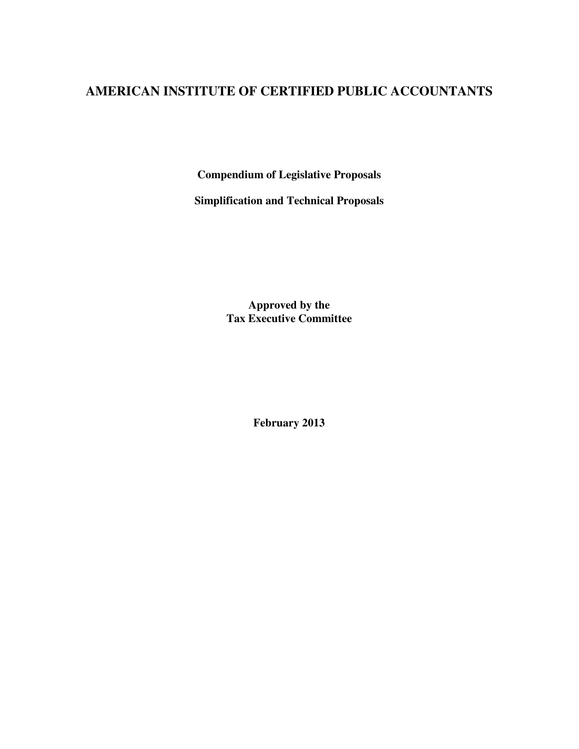# **AMERICAN INSTITUTE OF CERTIFIED PUBLIC ACCOUNTANTS**

**Compendium of Legislative Proposals** 

**Simplification and Technical Proposals** 

**Approved by the Tax Executive Committee** 

**February 2013**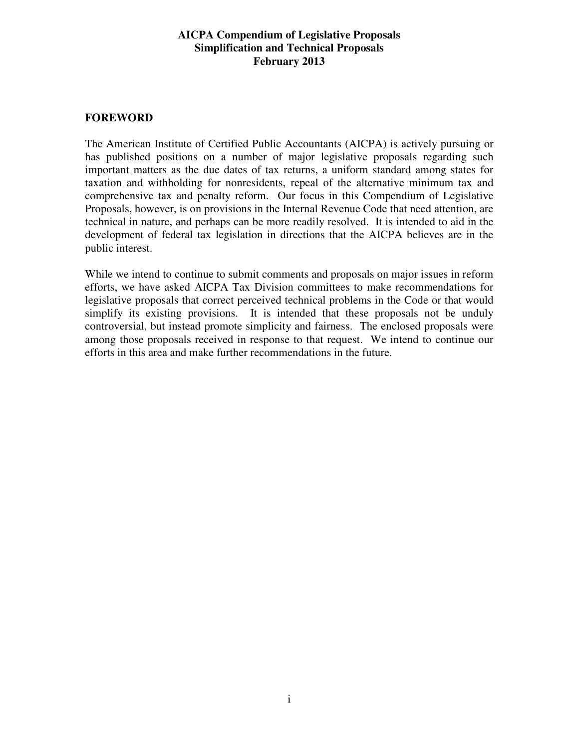## **FOREWORD**

The American Institute of Certified Public Accountants (AICPA) is actively pursuing or has published positions on a number of major legislative proposals regarding such important matters as the due dates of tax returns, a uniform standard among states for taxation and withholding for nonresidents, repeal of the alternative minimum tax and comprehensive tax and penalty reform. Our focus in this Compendium of Legislative Proposals, however, is on provisions in the Internal Revenue Code that need attention, are technical in nature, and perhaps can be more readily resolved. It is intended to aid in the development of federal tax legislation in directions that the AICPA believes are in the public interest.

While we intend to continue to submit comments and proposals on major issues in reform efforts, we have asked AICPA Tax Division committees to make recommendations for legislative proposals that correct perceived technical problems in the Code or that would simplify its existing provisions. It is intended that these proposals not be unduly controversial, but instead promote simplicity and fairness. The enclosed proposals were among those proposals received in response to that request. We intend to continue our efforts in this area and make further recommendations in the future.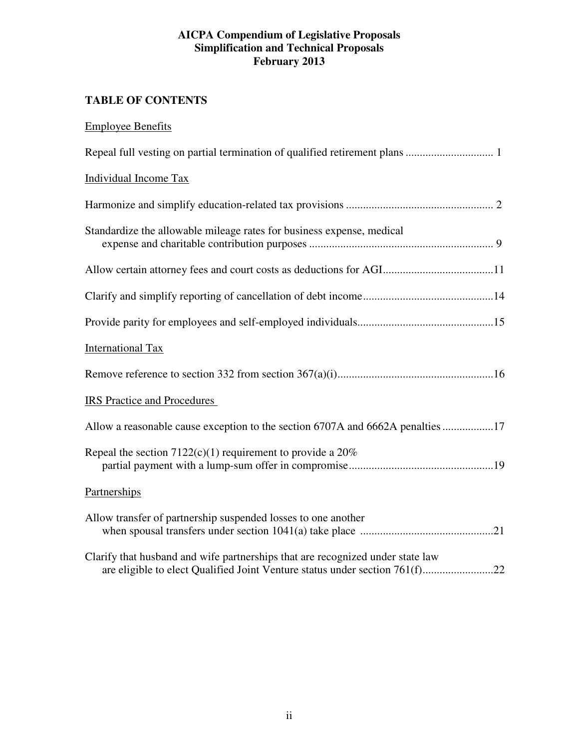## **TABLE OF CONTENTS**

| <b>Employee Benefits</b>                                                       |
|--------------------------------------------------------------------------------|
|                                                                                |
| <b>Individual Income Tax</b>                                                   |
|                                                                                |
| Standardize the allowable mileage rates for business expense, medical          |
| Allow certain attorney fees and court costs as deductions for AGI11            |
|                                                                                |
|                                                                                |
| <b>International Tax</b>                                                       |
|                                                                                |
| <b>IRS</b> Practice and Procedures                                             |
| Allow a reasonable cause exception to the section 6707A and 6662A penalties 17 |
| Repeal the section $7122(c)(1)$ requirement to provide a $20\%$                |
| Partnerships                                                                   |
| Allow transfer of partnership suspended losses to one another                  |
| Clarify that husband and wife partnerships that are recognized under state law |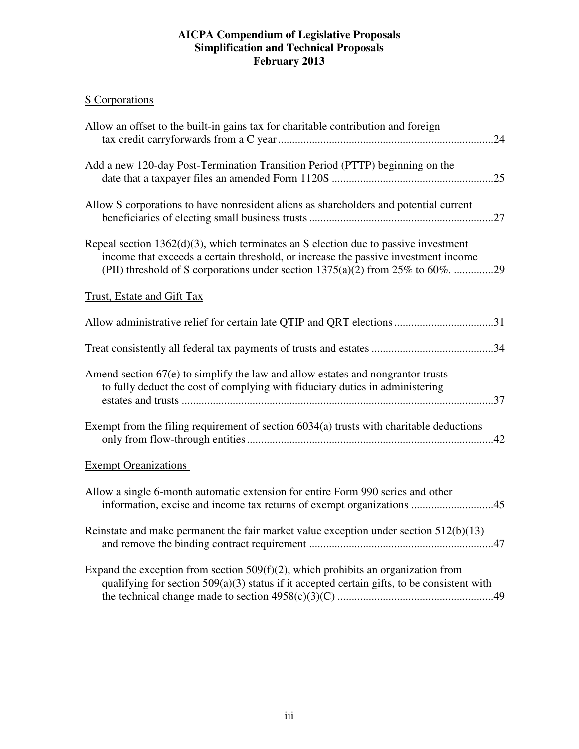## S Corporations

| Allow an offset to the built-in gains tax for charitable contribution and foreign                                                                                                   |
|-------------------------------------------------------------------------------------------------------------------------------------------------------------------------------------|
| Add a new 120-day Post-Termination Transition Period (PTTP) beginning on the                                                                                                        |
| Allow S corporations to have nonresident aliens as shareholders and potential current                                                                                               |
| Repeal section $1362(d)(3)$ , which terminates an S election due to passive investment<br>income that exceeds a certain threshold, or increase the passive investment income        |
| <b>Trust, Estate and Gift Tax</b>                                                                                                                                                   |
|                                                                                                                                                                                     |
|                                                                                                                                                                                     |
| Amend section 67(e) to simplify the law and allow estates and nongrantor trusts<br>to fully deduct the cost of complying with fiduciary duties in administering                     |
| Exempt from the filing requirement of section 6034(a) trusts with charitable deductions                                                                                             |
| <b>Exempt Organizations</b>                                                                                                                                                         |
| Allow a single 6-month automatic extension for entire Form 990 series and other<br>information, excise and income tax returns of exempt organizations 45                            |
| Reinstate and make permanent the fair market value exception under section $512(b)(13)$                                                                                             |
| Expand the exception from section $509(f)(2)$ , which prohibits an organization from<br>qualifying for section 509(a)(3) status if it accepted certain gifts, to be consistent with |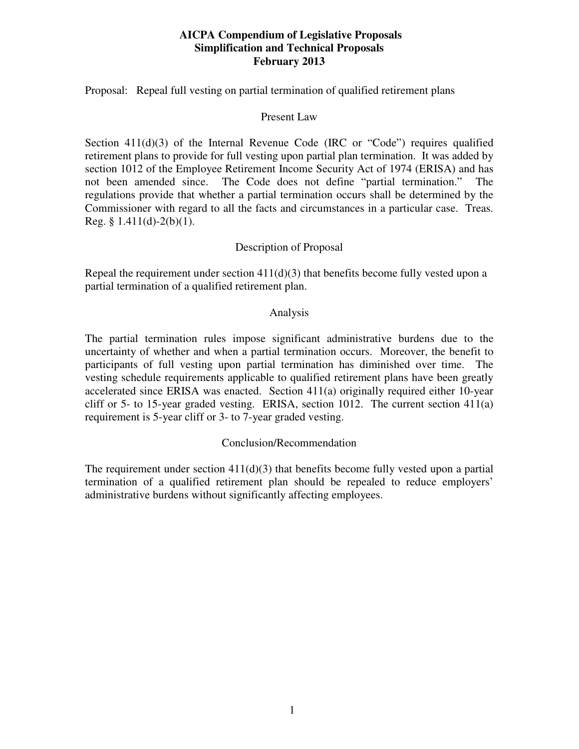Proposal: Repeal full vesting on partial termination of qualified retirement plans

### Present Law

Section  $411(d)(3)$  of the Internal Revenue Code (IRC or "Code") requires qualified retirement plans to provide for full vesting upon partial plan termination. It was added by section 1012 of the Employee Retirement Income Security Act of 1974 (ERISA) and has not been amended since. The Code does not define "partial termination." The regulations provide that whether a partial termination occurs shall be determined by the Commissioner with regard to all the facts and circumstances in a particular case. Treas. Reg. §  $1.411(d) - 2(b)(1)$ .

## Description of Proposal

Repeal the requirement under section  $411(d)(3)$  that benefits become fully vested upon a partial termination of a qualified retirement plan.

#### Analysis

The partial termination rules impose significant administrative burdens due to the uncertainty of whether and when a partial termination occurs. Moreover, the benefit to participants of full vesting upon partial termination has diminished over time. The vesting schedule requirements applicable to qualified retirement plans have been greatly accelerated since ERISA was enacted. Section 411(a) originally required either 10-year cliff or 5- to 15-year graded vesting. ERISA, section 1012. The current section 411(a) requirement is 5-year cliff or 3- to 7-year graded vesting.

## Conclusion/Recommendation

The requirement under section  $411(d)(3)$  that benefits become fully vested upon a partial termination of a qualified retirement plan should be repealed to reduce employers' administrative burdens without significantly affecting employees.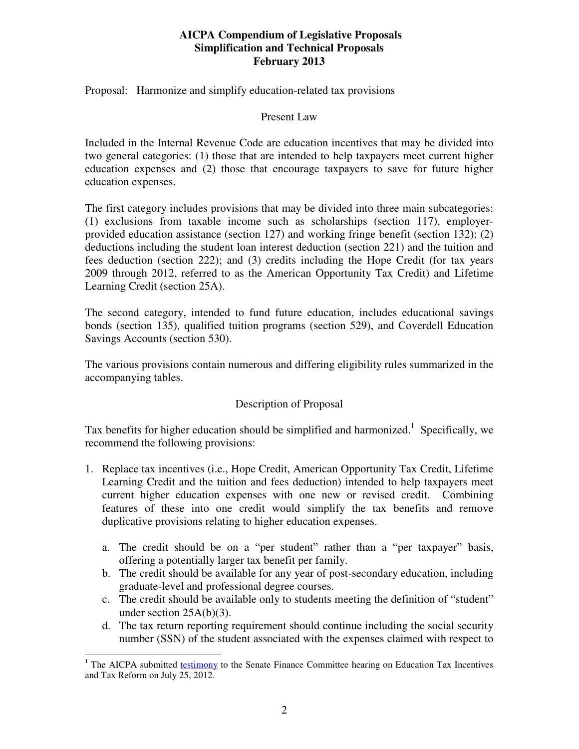Proposal: Harmonize and simplify education-related tax provisions

### Present Law

Included in the Internal Revenue Code are education incentives that may be divided into two general categories: (1) those that are intended to help taxpayers meet current higher education expenses and (2) those that encourage taxpayers to save for future higher education expenses.

The first category includes provisions that may be divided into three main subcategories: (1) exclusions from taxable income such as scholarships (section 117), employerprovided education assistance (section 127) and working fringe benefit (section 132); (2) deductions including the student loan interest deduction (section 221) and the tuition and fees deduction (section 222); and (3) credits including the Hope Credit (for tax years 2009 through 2012, referred to as the American Opportunity Tax Credit) and Lifetime Learning Credit (section 25A).

The second category, intended to fund future education, includes educational savings bonds (section 135), qualified tuition programs (section 529), and Coverdell Education Savings Accounts (section 530).

The various provisions contain numerous and differing eligibility rules summarized in the accompanying tables.

## Description of Proposal

Tax benefits for higher education should be simplified and harmonized.<sup>1</sup> Specifically, we recommend the following provisions:

- 1. Replace tax incentives (i.e., Hope Credit, American Opportunity Tax Credit, Lifetime Learning Credit and the tuition and fees deduction) intended to help taxpayers meet current higher education expenses with one new or revised credit. Combining features of these into one credit would simplify the tax benefits and remove duplicative provisions relating to higher education expenses.
	- a. The credit should be on a "per student" rather than a "per taxpayer" basis, offering a potentially larger tax benefit per family.
	- b. The credit should be available for any year of post-secondary education, including graduate-level and professional degree courses.
	- c. The credit should be available only to students meeting the definition of "student" under section 25A(b)(3).
	- d. The tax return reporting requirement should continue including the social security number (SSN) of the student associated with the expenses claimed with respect to

<sup>&</sup>lt;sup>1</sup> The AICPA submitted **testimony** to the Senate Finance Committee hearing on Education Tax Incentives and Tax Reform on July 25, 2012.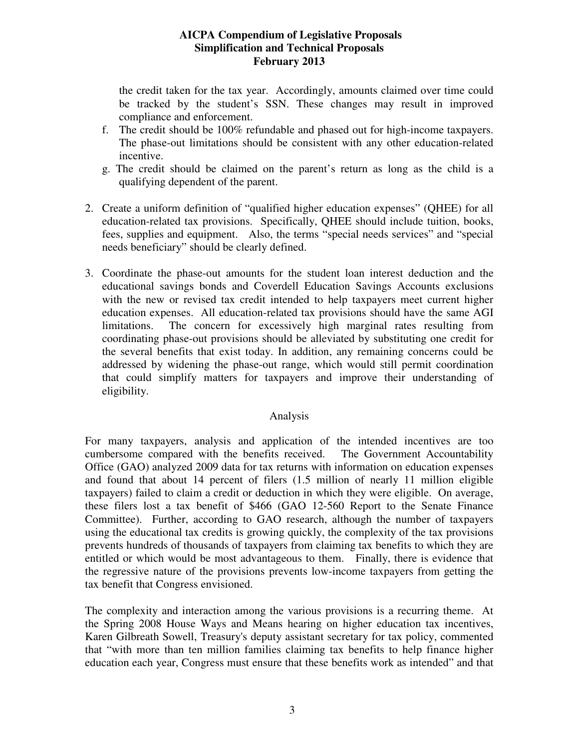the credit taken for the tax year. Accordingly, amounts claimed over time could be tracked by the student's SSN. These changes may result in improved compliance and enforcement.

- f. The credit should be 100% refundable and phased out for high-income taxpayers. The phase-out limitations should be consistent with any other education-related incentive.
- g. The credit should be claimed on the parent's return as long as the child is a qualifying dependent of the parent.
- 2. Create a uniform definition of "qualified higher education expenses" (QHEE) for all education-related tax provisions. Specifically, QHEE should include tuition, books, fees, supplies and equipment. Also, the terms "special needs services" and "special needs beneficiary" should be clearly defined.
- 3. Coordinate the phase-out amounts for the student loan interest deduction and the educational savings bonds and Coverdell Education Savings Accounts exclusions with the new or revised tax credit intended to help taxpayers meet current higher education expenses. All education-related tax provisions should have the same AGI limitations. The concern for excessively high marginal rates resulting from coordinating phase-out provisions should be alleviated by substituting one credit for the several benefits that exist today. In addition, any remaining concerns could be addressed by widening the phase-out range, which would still permit coordination that could simplify matters for taxpayers and improve their understanding of eligibility.

## Analysis

For many taxpayers, analysis and application of the intended incentives are too cumbersome compared with the benefits received. The Government Accountability Office (GAO) analyzed 2009 data for tax returns with information on education expenses and found that about 14 percent of filers (1.5 million of nearly 11 million eligible taxpayers) failed to claim a credit or deduction in which they were eligible. On average, these filers lost a tax benefit of \$466 (GAO 12-560 Report to the Senate Finance Committee). Further, according to GAO research, although the number of taxpayers using the educational tax credits is growing quickly, the complexity of the tax provisions prevents hundreds of thousands of taxpayers from claiming tax benefits to which they are entitled or which would be most advantageous to them. Finally, there is evidence that the regressive nature of the provisions prevents low-income taxpayers from getting the tax benefit that Congress envisioned.

The complexity and interaction among the various provisions is a recurring theme. At the Spring 2008 House Ways and Means hearing on higher education tax incentives, Karen Gilbreath Sowell, Treasury's deputy assistant secretary for tax policy, commented that "with more than ten million families claiming tax benefits to help finance higher education each year, Congress must ensure that these benefits work as intended" and that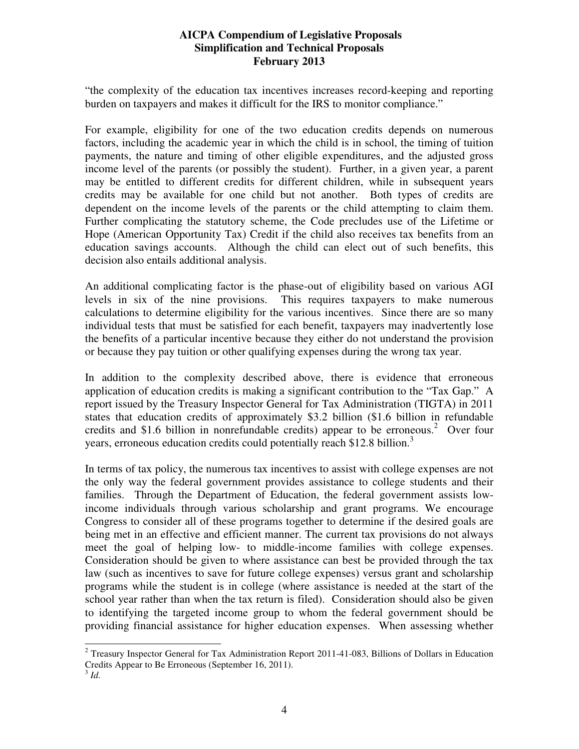"the complexity of the education tax incentives increases record-keeping and reporting burden on taxpayers and makes it difficult for the IRS to monitor compliance."

For example, eligibility for one of the two education credits depends on numerous factors, including the academic year in which the child is in school, the timing of tuition payments, the nature and timing of other eligible expenditures, and the adjusted gross income level of the parents (or possibly the student). Further, in a given year, a parent may be entitled to different credits for different children, while in subsequent years credits may be available for one child but not another. Both types of credits are dependent on the income levels of the parents or the child attempting to claim them. Further complicating the statutory scheme, the Code precludes use of the Lifetime or Hope (American Opportunity Tax) Credit if the child also receives tax benefits from an education savings accounts. Although the child can elect out of such benefits, this decision also entails additional analysis.

An additional complicating factor is the phase-out of eligibility based on various AGI levels in six of the nine provisions. This requires taxpayers to make numerous calculations to determine eligibility for the various incentives. Since there are so many individual tests that must be satisfied for each benefit, taxpayers may inadvertently lose the benefits of a particular incentive because they either do not understand the provision or because they pay tuition or other qualifying expenses during the wrong tax year.

In addition to the complexity described above, there is evidence that erroneous application of education credits is making a significant contribution to the "Tax Gap." A report issued by the Treasury Inspector General for Tax Administration (TIGTA) in 2011 states that education credits of approximately \$3.2 billion (\$1.6 billion in refundable credits and \$1.6 billion in nonrefundable credits) appear to be erroneous.<sup>2</sup> Over four years, erroneous education credits could potentially reach \$12.8 billion.<sup>3</sup>

In terms of tax policy, the numerous tax incentives to assist with college expenses are not the only way the federal government provides assistance to college students and their families. Through the Department of Education, the federal government assists lowincome individuals through various scholarship and grant programs. We encourage Congress to consider all of these programs together to determine if the desired goals are being met in an effective and efficient manner. The current tax provisions do not always meet the goal of helping low- to middle-income families with college expenses. Consideration should be given to where assistance can best be provided through the tax law (such as incentives to save for future college expenses) versus grant and scholarship programs while the student is in college (where assistance is needed at the start of the school year rather than when the tax return is filed). Consideration should also be given to identifying the targeted income group to whom the federal government should be providing financial assistance for higher education expenses. When assessing whether

<sup>&</sup>lt;sup>2</sup> Treasury Inspector General for Tax Administration Report 2011-41-083, Billions of Dollars in Education Credits Appear to Be Erroneous (September 16, 2011).

<sup>3</sup> *Id.*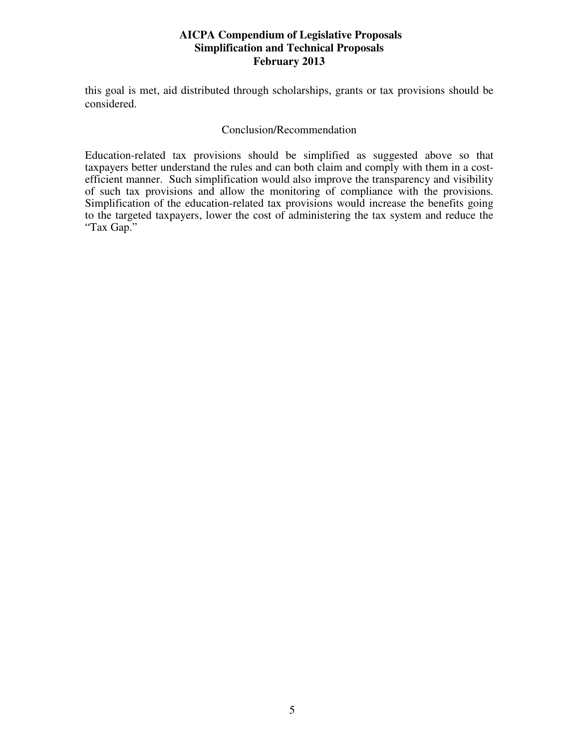this goal is met, aid distributed through scholarships, grants or tax provisions should be considered.

#### Conclusion/Recommendation

Education-related tax provisions should be simplified as suggested above so that taxpayers better understand the rules and can both claim and comply with them in a costefficient manner. Such simplification would also improve the transparency and visibility of such tax provisions and allow the monitoring of compliance with the provisions. Simplification of the education-related tax provisions would increase the benefits going to the targeted taxpayers, lower the cost of administering the tax system and reduce the "Tax Gap."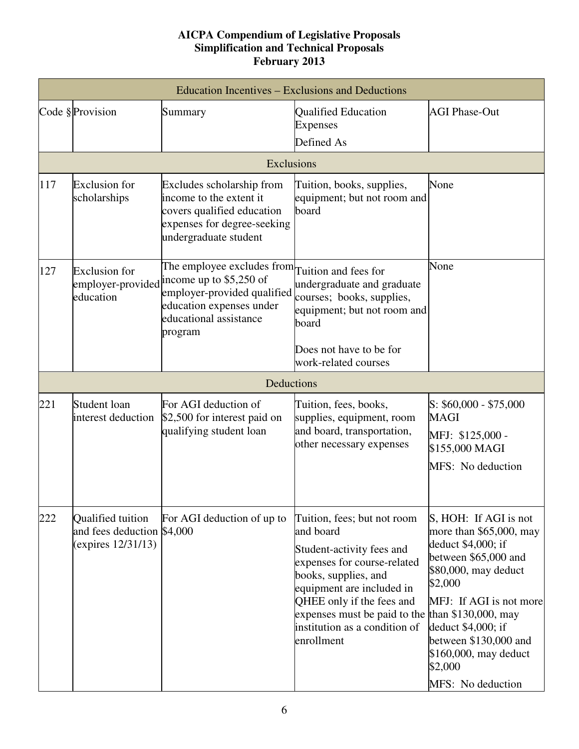| Education Incentives – Exclusions and Deductions |                                                                       |                                                                                                                                                                                    |                                                                                                                                                                                                                                                                       |                                                                                                                                                                                                                                                                                             |  |  |  |  |
|--------------------------------------------------|-----------------------------------------------------------------------|------------------------------------------------------------------------------------------------------------------------------------------------------------------------------------|-----------------------------------------------------------------------------------------------------------------------------------------------------------------------------------------------------------------------------------------------------------------------|---------------------------------------------------------------------------------------------------------------------------------------------------------------------------------------------------------------------------------------------------------------------------------------------|--|--|--|--|
|                                                  | Code § Provision                                                      | Summary                                                                                                                                                                            | <b>Qualified Education</b><br><b>Expenses</b><br>Defined As                                                                                                                                                                                                           | <b>AGI Phase-Out</b>                                                                                                                                                                                                                                                                        |  |  |  |  |
|                                                  | Exclusions                                                            |                                                                                                                                                                                    |                                                                                                                                                                                                                                                                       |                                                                                                                                                                                                                                                                                             |  |  |  |  |
| 117                                              | <b>Exclusion</b> for<br>scholarships                                  | Excludes scholarship from<br>income to the extent it<br>covers qualified education<br>expenses for degree-seeking<br>undergraduate student                                         | Tuition, books, supplies,<br>equipment; but not room and<br>board                                                                                                                                                                                                     | None                                                                                                                                                                                                                                                                                        |  |  |  |  |
| 127                                              | <b>Exclusion</b> for<br>employer-provided<br>education                | The employee excludes from $\Gamma$ uition and fees for<br>income up to \$5,250 of<br>employer-provided qualified<br>education expenses under<br>educational assistance<br>program | undergraduate and graduate<br>courses; books, supplies,<br>equipment; but not room and<br>board<br>Does not have to be for<br>work-related courses                                                                                                                    | None                                                                                                                                                                                                                                                                                        |  |  |  |  |
|                                                  |                                                                       | Deductions                                                                                                                                                                         |                                                                                                                                                                                                                                                                       |                                                                                                                                                                                                                                                                                             |  |  |  |  |
| 221                                              | Student loan<br>interest deduction                                    | For AGI deduction of<br>\$2,500 for interest paid on<br>qualifying student loan                                                                                                    | Tuition, fees, books,<br>supplies, equipment, room<br>and board, transportation,<br>other necessary expenses                                                                                                                                                          | $S: $60,000 - $75,000$<br><b>MAGI</b><br>MFJ: \$125,000 -<br>\$155,000 MAGI<br>MFS: No deduction                                                                                                                                                                                            |  |  |  |  |
| 222                                              | Qualified tuition<br>and fees deduction \$4,000<br>(expires 12/31/13) | For AGI deduction of up to                                                                                                                                                         | Tuition, fees; but not room<br>and board<br>Student-activity fees and<br>expenses for course-related<br>books, supplies, and<br>equipment are included in<br>QHEE only if the fees and<br>expenses must be paid to the<br>institution as a condition of<br>enrollment | S, HOH: If AGI is not<br>more than \$65,000, may<br>deduct \$4,000; if<br>between \$65,000 and<br>\$80,000, may deduct<br>\$2,000<br>MFJ: If AGI is not more<br>than \$130,000, may<br>deduct \$4,000; if<br>between \$130,000 and<br>\$160,000, may deduct<br>\$2,000<br>MFS: No deduction |  |  |  |  |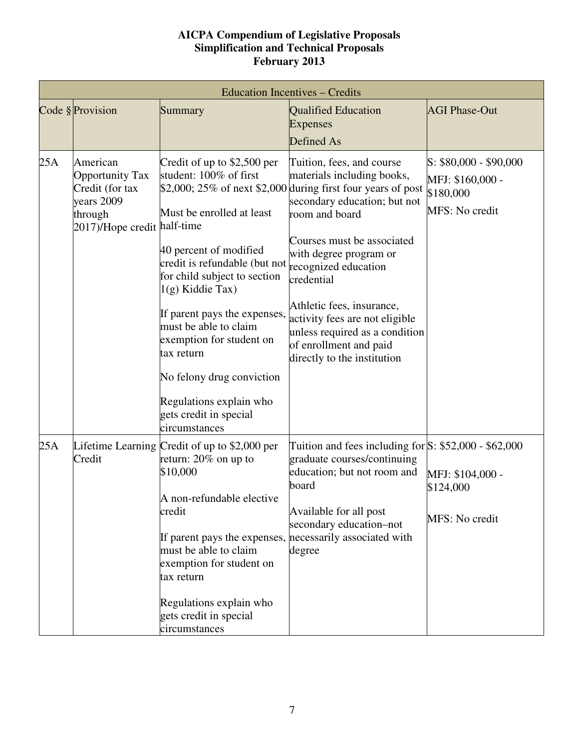| <b>Education Incentives – Credits</b> |                                                                                                               |                                                                                                                                                                                                                                                                                                                                                                                                                                 |                                                                                                                                                                                                                                                                                                                                                                                                           |                                                                           |  |  |
|---------------------------------------|---------------------------------------------------------------------------------------------------------------|---------------------------------------------------------------------------------------------------------------------------------------------------------------------------------------------------------------------------------------------------------------------------------------------------------------------------------------------------------------------------------------------------------------------------------|-----------------------------------------------------------------------------------------------------------------------------------------------------------------------------------------------------------------------------------------------------------------------------------------------------------------------------------------------------------------------------------------------------------|---------------------------------------------------------------------------|--|--|
|                                       | Code § Provision                                                                                              | Summary                                                                                                                                                                                                                                                                                                                                                                                                                         | <b>Qualified Education</b><br><b>Expenses</b><br>Defined As                                                                                                                                                                                                                                                                                                                                               | <b>AGI Phase-Out</b>                                                      |  |  |
| 25A                                   | American<br><b>Opportunity Tax</b><br>Credit (for tax<br>years 2009<br>through<br>2017)/Hope credit half-time | Credit of up to $$2,500$ per<br>student: 100% of first<br>Must be enrolled at least<br>40 percent of modified<br>credit is refundable (but not recognized education<br>for child subject to section<br>$1(g)$ Kiddie Tax)<br>If parent pays the expenses,<br>must be able to claim<br>exemption for student on<br>tax return<br>No felony drug conviction<br>Regulations explain who<br>gets credit in special<br>circumstances | Tuition, fees, and course<br>materials including books,<br>\$2,000; 25% of next \$2,000 during first four years of post<br>secondary education; but not<br>room and board<br>Courses must be associated<br>with degree program or<br>credential<br>Athletic fees, insurance,<br>activity fees are not eligible<br>unless required as a condition<br>of enrollment and paid<br>directly to the institution | $S: $80,000 - $90,000$<br>MFJ: \$160,000 -<br>\$180,000<br>MFS: No credit |  |  |
| 25A                                   | Credit                                                                                                        | Lifetime Learning Credit of up to \$2,000 per<br>return: $20\%$ on up to<br>\$10,000<br>A non-refundable elective<br>credit<br>If parent pays the expenses, necessarily associated with<br>must be able to claim<br>exemption for student on<br>tax return<br>Regulations explain who<br>gets credit in special<br>circumstances                                                                                                | Tuition and fees including for $S: $52,000 - $62,000$<br>graduate courses/continuing<br>education; but not room and<br>board<br>Available for all post<br>secondary education-not<br>degree                                                                                                                                                                                                               | MFJ: \$104,000 -<br>\$124,000<br>MFS: No credit                           |  |  |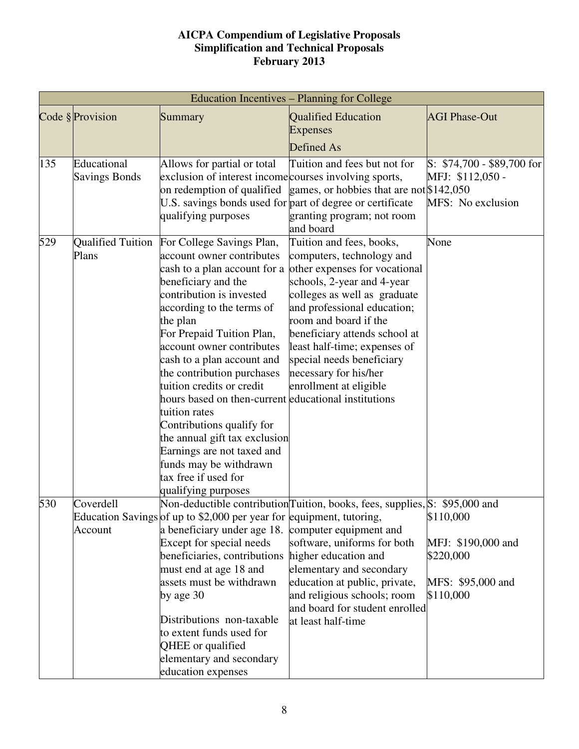|     | Education Incentives - Planning for College |                                                                                                                                                                                                                                                                                                                                                                                                                                                                                                                                                |                                                                                                                                                                                                                                                                                                                                                                                            |                                                                                |  |  |  |
|-----|---------------------------------------------|------------------------------------------------------------------------------------------------------------------------------------------------------------------------------------------------------------------------------------------------------------------------------------------------------------------------------------------------------------------------------------------------------------------------------------------------------------------------------------------------------------------------------------------------|--------------------------------------------------------------------------------------------------------------------------------------------------------------------------------------------------------------------------------------------------------------------------------------------------------------------------------------------------------------------------------------------|--------------------------------------------------------------------------------|--|--|--|
|     | Code § Provision                            | Summary                                                                                                                                                                                                                                                                                                                                                                                                                                                                                                                                        | <b>Qualified Education</b><br><b>Expenses</b>                                                                                                                                                                                                                                                                                                                                              | <b>AGI Phase-Out</b>                                                           |  |  |  |
|     |                                             |                                                                                                                                                                                                                                                                                                                                                                                                                                                                                                                                                | Defined As                                                                                                                                                                                                                                                                                                                                                                                 |                                                                                |  |  |  |
| 135 | Educational<br><b>Savings Bonds</b>         | Allows for partial or total<br>exclusion of interest income courses involving sports,<br>on redemption of qualified<br>U.S. savings bonds used for part of degree or certificate<br>qualifying purposes                                                                                                                                                                                                                                                                                                                                        | Tuition and fees but not for<br>games, or hobbies that are not \$142,050<br>granting program; not room<br>and board                                                                                                                                                                                                                                                                        | $S: $74,700 - $89,700$ for<br>MFJ: \$112,050 -<br>MFS: No exclusion            |  |  |  |
| 529 | Plans                                       | Qualified Tuition For College Savings Plan,<br>account owner contributes<br>beneficiary and the<br>contribution is invested<br>according to the terms of<br>the plan<br>For Prepaid Tuition Plan,<br>account owner contributes<br>cash to a plan account and<br>the contribution purchases<br>tuition credits or credit<br>hours based on then-current educational institutions<br>tuition rates<br>Contributions qualify for<br>the annual gift tax exclusion<br>Earnings are not taxed and<br>funds may be withdrawn<br>tax free if used for | Tuition and fees, books,<br>computers, technology and<br>cash to a plan account for a other expenses for vocational<br>schools, 2-year and 4-year<br>colleges as well as graduate<br>and professional education;<br>room and board if the<br>beneficiary attends school at<br>least half-time; expenses of<br>special needs beneficiary<br>necessary for his/her<br>enrollment at eligible | None                                                                           |  |  |  |
| 530 | Coverdell<br>Account                        | qualifying purposes<br>Education Savings of up to \$2,000 per year for equipment, tutoring,<br>a beneficiary under age 18. computer equipment and<br>Except for special needs<br>beneficiaries, contributions<br>must end at age 18 and<br>assets must be withdrawn<br>by age 30<br>Distributions non-taxable<br>to extent funds used for<br>QHEE or qualified<br>elementary and secondary<br>education expenses                                                                                                                               | Non-deductible contribution Tuition, books, fees, supplies, S: \$95,000 and<br>software, uniforms for both<br>higher education and<br>elementary and secondary<br>education at public, private,<br>and religious schools; room<br>and board for student enrolled<br>at least half-time                                                                                                     | \$110,000<br>MFJ: \$190,000 and<br>\$220,000<br>MFS: \$95,000 and<br>\$110,000 |  |  |  |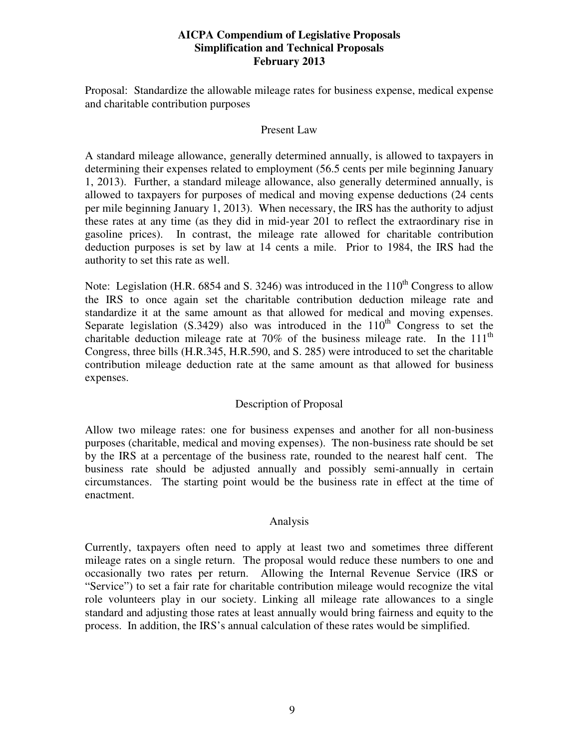Proposal: Standardize the allowable mileage rates for business expense, medical expense and charitable contribution purposes

#### Present Law

A standard mileage allowance, generally determined annually, is allowed to taxpayers in determining their expenses related to employment (56.5 cents per mile beginning January 1, 2013). Further, a standard mileage allowance, also generally determined annually, is allowed to taxpayers for purposes of medical and moving expense deductions (24 cents per mile beginning January 1, 2013). When necessary, the IRS has the authority to adjust these rates at any time (as they did in mid-year 201 to reflect the extraordinary rise in gasoline prices). In contrast, the mileage rate allowed for charitable contribution deduction purposes is set by law at 14 cents a mile. Prior to 1984, the IRS had the authority to set this rate as well.

Note: Legislation (H.R. 6854 and S. 3246) was introduced in the  $110^{th}$  Congress to allow the IRS to once again set the charitable contribution deduction mileage rate and standardize it at the same amount as that allowed for medical and moving expenses. Separate legislation  $(S.3429)$  also was introduced in the  $110<sup>th</sup>$  Congress to set the charitable deduction mileage rate at  $70\%$  of the business mileage rate. In the  $111<sup>th</sup>$ Congress, three bills (H.R.345, H.R.590, and S. 285) were introduced to set the charitable contribution mileage deduction rate at the same amount as that allowed for business expenses.

## Description of Proposal

Allow two mileage rates: one for business expenses and another for all non-business purposes (charitable, medical and moving expenses). The non-business rate should be set by the IRS at a percentage of the business rate, rounded to the nearest half cent. The business rate should be adjusted annually and possibly semi-annually in certain circumstances. The starting point would be the business rate in effect at the time of enactment.

## Analysis

Currently, taxpayers often need to apply at least two and sometimes three different mileage rates on a single return. The proposal would reduce these numbers to one and occasionally two rates per return. Allowing the Internal Revenue Service (IRS or "Service") to set a fair rate for charitable contribution mileage would recognize the vital role volunteers play in our society. Linking all mileage rate allowances to a single standard and adjusting those rates at least annually would bring fairness and equity to the process. In addition, the IRS's annual calculation of these rates would be simplified.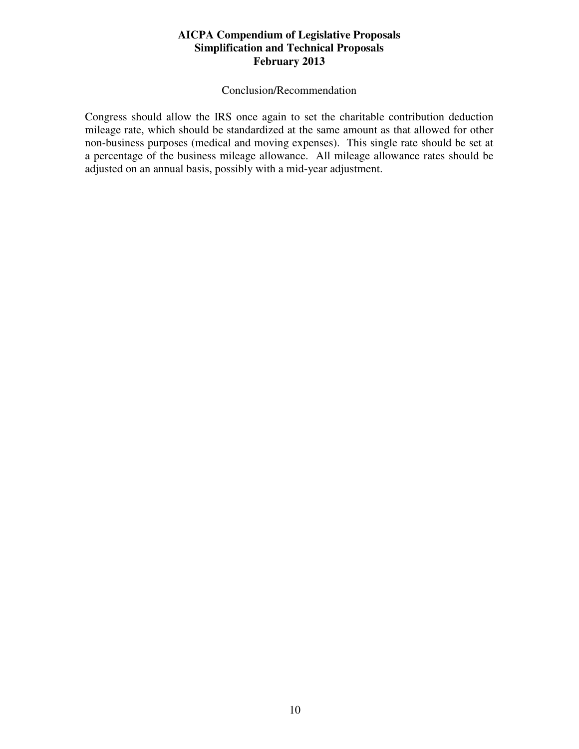#### Conclusion/Recommendation

Congress should allow the IRS once again to set the charitable contribution deduction mileage rate, which should be standardized at the same amount as that allowed for other non-business purposes (medical and moving expenses). This single rate should be set at a percentage of the business mileage allowance. All mileage allowance rates should be adjusted on an annual basis, possibly with a mid-year adjustment.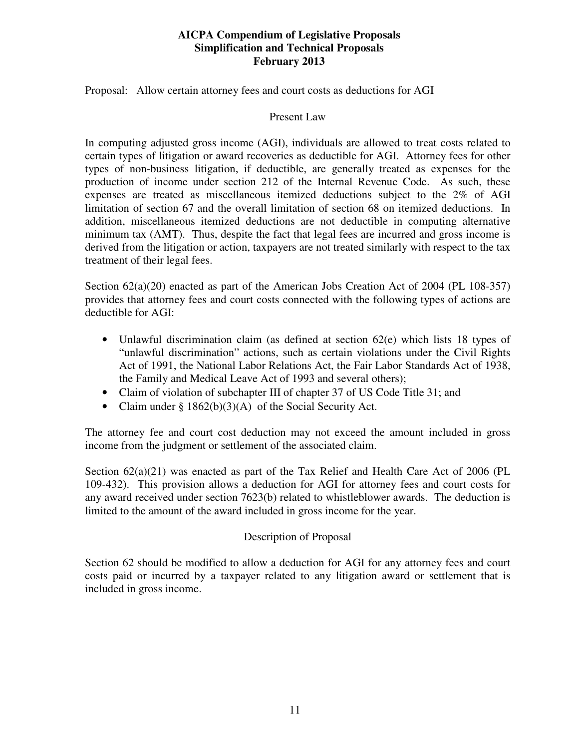Proposal: Allow certain attorney fees and court costs as deductions for AGI

### Present Law

In computing adjusted gross income (AGI), individuals are allowed to treat costs related to certain types of litigation or award recoveries as deductible for AGI. Attorney fees for other types of non-business litigation, if deductible, are generally treated as expenses for the production of income under section 212 of the Internal Revenue Code. As such, these expenses are treated as miscellaneous itemized deductions subject to the 2% of AGI limitation of section 67 and the overall limitation of section 68 on itemized deductions. In addition, miscellaneous itemized deductions are not deductible in computing alternative minimum tax (AMT). Thus, despite the fact that legal fees are incurred and gross income is derived from the litigation or action, taxpayers are not treated similarly with respect to the tax treatment of their legal fees.

Section  $62(a)(20)$  enacted as part of the American Jobs Creation Act of 2004 (PL 108-357) provides that attorney fees and court costs connected with the following types of actions are deductible for AGI:

- Unlawful discrimination claim (as defined at section 62(e) which lists 18 types of "unlawful discrimination" actions, such as certain violations under the Civil Rights Act of 1991, the National Labor Relations Act, the Fair Labor Standards Act of 1938, the Family and Medical Leave Act of 1993 and several others);
- Claim of violation of subchapter III of chapter 37 of US Code Title 31; and
- Claim under § 1862(b)(3)(A) of the Social Security Act.

The attorney fee and court cost deduction may not exceed the amount included in gross income from the judgment or settlement of the associated claim.

Section  $62(a)(21)$  was enacted as part of the Tax Relief and Health Care Act of 2006 (PL 109-432). This provision allows a deduction for AGI for attorney fees and court costs for any award received under section 7623(b) related to whistleblower awards. The deduction is limited to the amount of the award included in gross income for the year.

## Description of Proposal

Section 62 should be modified to allow a deduction for AGI for any attorney fees and court costs paid or incurred by a taxpayer related to any litigation award or settlement that is included in gross income.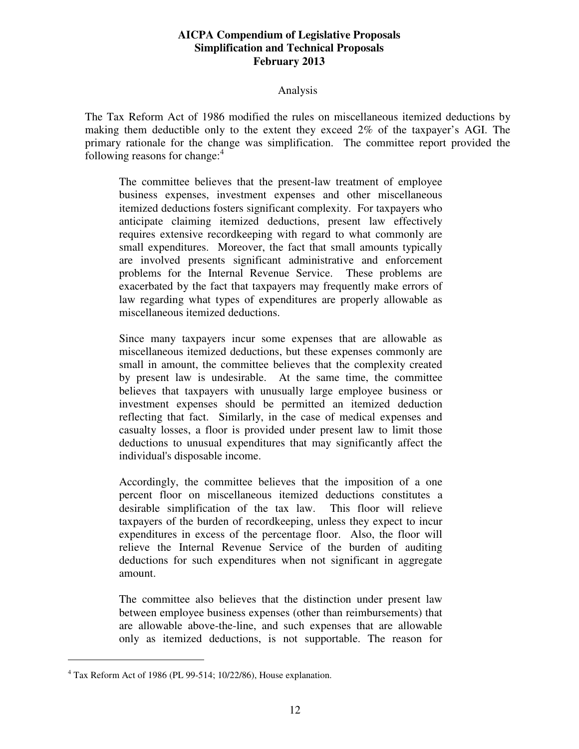#### Analysis

The Tax Reform Act of 1986 modified the rules on miscellaneous itemized deductions by making them deductible only to the extent they exceed 2% of the taxpayer's AGI. The primary rationale for the change was simplification. The committee report provided the following reasons for change: $4$ 

The committee believes that the present-law treatment of employee business expenses, investment expenses and other miscellaneous itemized deductions fosters significant complexity. For taxpayers who anticipate claiming itemized deductions, present law effectively requires extensive recordkeeping with regard to what commonly are small expenditures. Moreover, the fact that small amounts typically are involved presents significant administrative and enforcement problems for the Internal Revenue Service. These problems are exacerbated by the fact that taxpayers may frequently make errors of law regarding what types of expenditures are properly allowable as miscellaneous itemized deductions.

Since many taxpayers incur some expenses that are allowable as miscellaneous itemized deductions, but these expenses commonly are small in amount, the committee believes that the complexity created by present law is undesirable. At the same time, the committee believes that taxpayers with unusually large employee business or investment expenses should be permitted an itemized deduction reflecting that fact. Similarly, in the case of medical expenses and casualty losses, a floor is provided under present law to limit those deductions to unusual expenditures that may significantly affect the individual's disposable income.

Accordingly, the committee believes that the imposition of a one percent floor on miscellaneous itemized deductions constitutes a desirable simplification of the tax law. This floor will relieve taxpayers of the burden of recordkeeping, unless they expect to incur expenditures in excess of the percentage floor. Also, the floor will relieve the Internal Revenue Service of the burden of auditing deductions for such expenditures when not significant in aggregate amount.

The committee also believes that the distinction under present law between employee business expenses (other than reimbursements) that are allowable above-the-line, and such expenses that are allowable only as itemized deductions, is not supportable. The reason for

-

<sup>&</sup>lt;sup>4</sup> Tax Reform Act of 1986 (PL 99-514; 10/22/86), House explanation.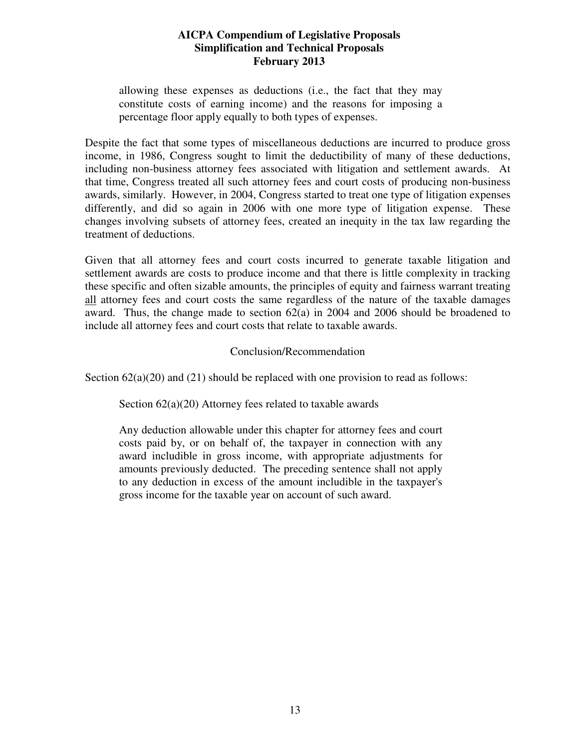allowing these expenses as deductions (i.e., the fact that they may constitute costs of earning income) and the reasons for imposing a percentage floor apply equally to both types of expenses.

Despite the fact that some types of miscellaneous deductions are incurred to produce gross income, in 1986, Congress sought to limit the deductibility of many of these deductions, including non-business attorney fees associated with litigation and settlement awards. At that time, Congress treated all such attorney fees and court costs of producing non-business awards, similarly. However, in 2004, Congress started to treat one type of litigation expenses differently, and did so again in 2006 with one more type of litigation expense. These changes involving subsets of attorney fees, created an inequity in the tax law regarding the treatment of deductions.

Given that all attorney fees and court costs incurred to generate taxable litigation and settlement awards are costs to produce income and that there is little complexity in tracking these specific and often sizable amounts, the principles of equity and fairness warrant treating all attorney fees and court costs the same regardless of the nature of the taxable damages award. Thus, the change made to section 62(a) in 2004 and 2006 should be broadened to include all attorney fees and court costs that relate to taxable awards.

## Conclusion/Recommendation

Section  $62(a)(20)$  and  $(21)$  should be replaced with one provision to read as follows:

Section 62(a)(20) Attorney fees related to taxable awards

Any deduction allowable under this chapter for attorney fees and court costs paid by, or on behalf of, the taxpayer in connection with any award includible in gross income, with appropriate adjustments for amounts previously deducted. The preceding sentence shall not apply to any deduction in excess of the amount includible in the taxpayer's gross income for the taxable year on account of such award.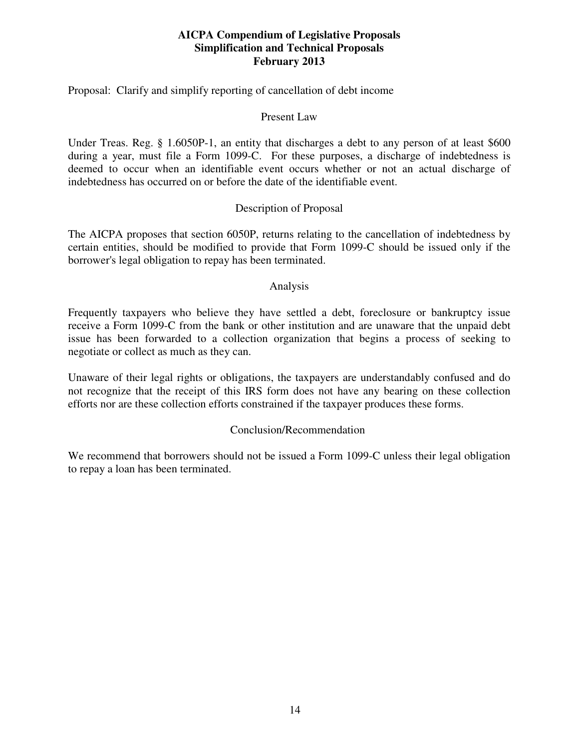Proposal: Clarify and simplify reporting of cancellation of debt income

### Present Law

Under Treas. Reg. § 1.6050P-1, an entity that discharges a debt to any person of at least \$600 during a year, must file a Form 1099-C. For these purposes, a discharge of indebtedness is deemed to occur when an identifiable event occurs whether or not an actual discharge of indebtedness has occurred on or before the date of the identifiable event.

## Description of Proposal

The AICPA proposes that section 6050P, returns relating to the cancellation of indebtedness by certain entities, should be modified to provide that Form 1099-C should be issued only if the borrower's legal obligation to repay has been terminated.

#### Analysis

Frequently taxpayers who believe they have settled a debt, foreclosure or bankruptcy issue receive a Form 1099-C from the bank or other institution and are unaware that the unpaid debt issue has been forwarded to a collection organization that begins a process of seeking to negotiate or collect as much as they can.

Unaware of their legal rights or obligations, the taxpayers are understandably confused and do not recognize that the receipt of this IRS form does not have any bearing on these collection efforts nor are these collection efforts constrained if the taxpayer produces these forms.

## Conclusion/Recommendation

We recommend that borrowers should not be issued a Form 1099-C unless their legal obligation to repay a loan has been terminated.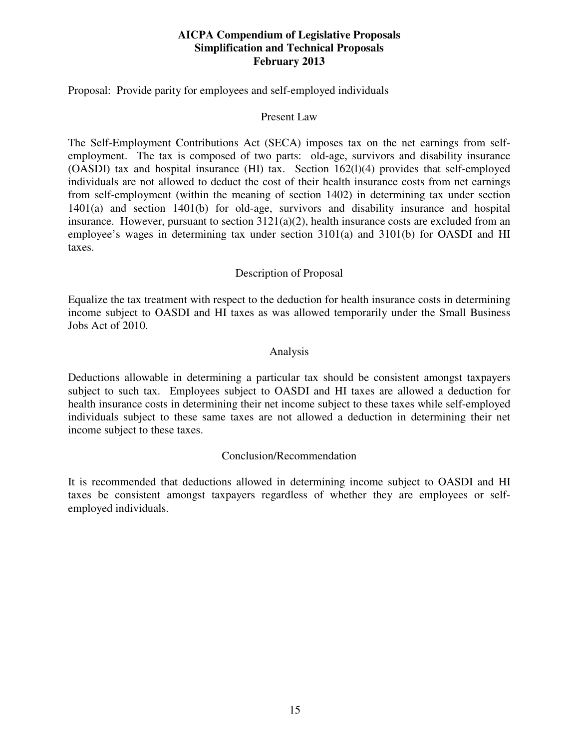Proposal: Provide parity for employees and self-employed individuals

### Present Law

The Self-Employment Contributions Act (SECA) imposes tax on the net earnings from selfemployment. The tax is composed of two parts: old-age, survivors and disability insurance (OASDI) tax and hospital insurance (HI) tax. Section 162(l)(4) provides that self-employed individuals are not allowed to deduct the cost of their health insurance costs from net earnings from self-employment (within the meaning of section 1402) in determining tax under section 1401(a) and section 1401(b) for old-age, survivors and disability insurance and hospital insurance. However, pursuant to section  $3121(a)(2)$ , health insurance costs are excluded from an employee's wages in determining tax under section 3101(a) and 3101(b) for OASDI and HI taxes.

## Description of Proposal

Equalize the tax treatment with respect to the deduction for health insurance costs in determining income subject to OASDI and HI taxes as was allowed temporarily under the Small Business Jobs Act of 2010.

## Analysis

Deductions allowable in determining a particular tax should be consistent amongst taxpayers subject to such tax. Employees subject to OASDI and HI taxes are allowed a deduction for health insurance costs in determining their net income subject to these taxes while self-employed individuals subject to these same taxes are not allowed a deduction in determining their net income subject to these taxes.

## Conclusion/Recommendation

It is recommended that deductions allowed in determining income subject to OASDI and HI taxes be consistent amongst taxpayers regardless of whether they are employees or selfemployed individuals.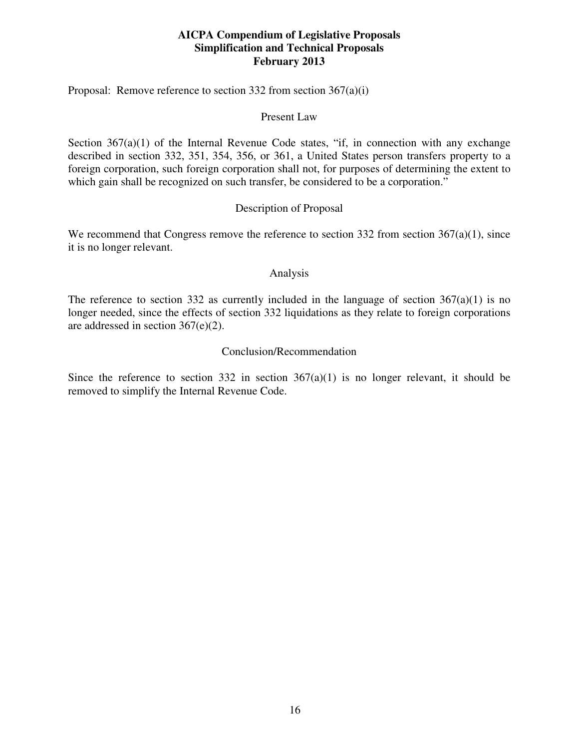Proposal: Remove reference to section 332 from section 367(a)(i)

### Present Law

Section  $367(a)(1)$  of the Internal Revenue Code states, "if, in connection with any exchange described in section 332, 351, 354, 356, or 361, a United States person transfers property to a foreign corporation, such foreign corporation shall not, for purposes of determining the extent to which gain shall be recognized on such transfer, be considered to be a corporation."

## Description of Proposal

We recommend that Congress remove the reference to section 332 from section 367(a)(1), since it is no longer relevant.

## Analysis

The reference to section 332 as currently included in the language of section  $367(a)(1)$  is no longer needed, since the effects of section 332 liquidations as they relate to foreign corporations are addressed in section 367(e)(2).

## Conclusion/Recommendation

Since the reference to section 332 in section  $367(a)(1)$  is no longer relevant, it should be removed to simplify the Internal Revenue Code.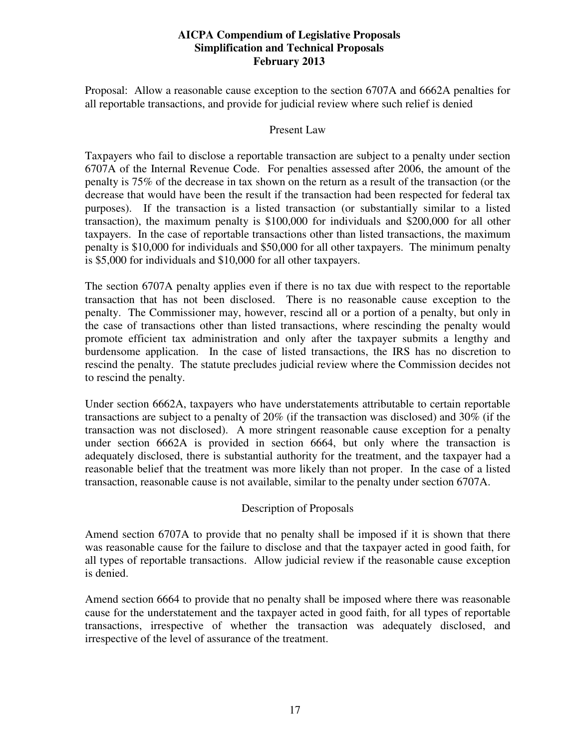Proposal: Allow a reasonable cause exception to the section 6707A and 6662A penalties for all reportable transactions, and provide for judicial review where such relief is denied

#### Present Law

Taxpayers who fail to disclose a reportable transaction are subject to a penalty under section 6707A of the Internal Revenue Code. For penalties assessed after 2006, the amount of the penalty is 75% of the decrease in tax shown on the return as a result of the transaction (or the decrease that would have been the result if the transaction had been respected for federal tax purposes). If the transaction is a listed transaction (or substantially similar to a listed transaction), the maximum penalty is \$100,000 for individuals and \$200,000 for all other taxpayers. In the case of reportable transactions other than listed transactions, the maximum penalty is \$10,000 for individuals and \$50,000 for all other taxpayers. The minimum penalty is \$5,000 for individuals and \$10,000 for all other taxpayers.

The section 6707A penalty applies even if there is no tax due with respect to the reportable transaction that has not been disclosed. There is no reasonable cause exception to the penalty. The Commissioner may, however, rescind all or a portion of a penalty, but only in the case of transactions other than listed transactions, where rescinding the penalty would promote efficient tax administration and only after the taxpayer submits a lengthy and burdensome application. In the case of listed transactions, the IRS has no discretion to rescind the penalty. The statute precludes judicial review where the Commission decides not to rescind the penalty.

Under section 6662A, taxpayers who have understatements attributable to certain reportable transactions are subject to a penalty of 20% (if the transaction was disclosed) and 30% (if the transaction was not disclosed). A more stringent reasonable cause exception for a penalty under section 6662A is provided in section 6664, but only where the transaction is adequately disclosed, there is substantial authority for the treatment, and the taxpayer had a reasonable belief that the treatment was more likely than not proper. In the case of a listed transaction, reasonable cause is not available, similar to the penalty under section 6707A.

## Description of Proposals

Amend section 6707A to provide that no penalty shall be imposed if it is shown that there was reasonable cause for the failure to disclose and that the taxpayer acted in good faith, for all types of reportable transactions. Allow judicial review if the reasonable cause exception is denied.

Amend section 6664 to provide that no penalty shall be imposed where there was reasonable cause for the understatement and the taxpayer acted in good faith, for all types of reportable transactions, irrespective of whether the transaction was adequately disclosed, and irrespective of the level of assurance of the treatment.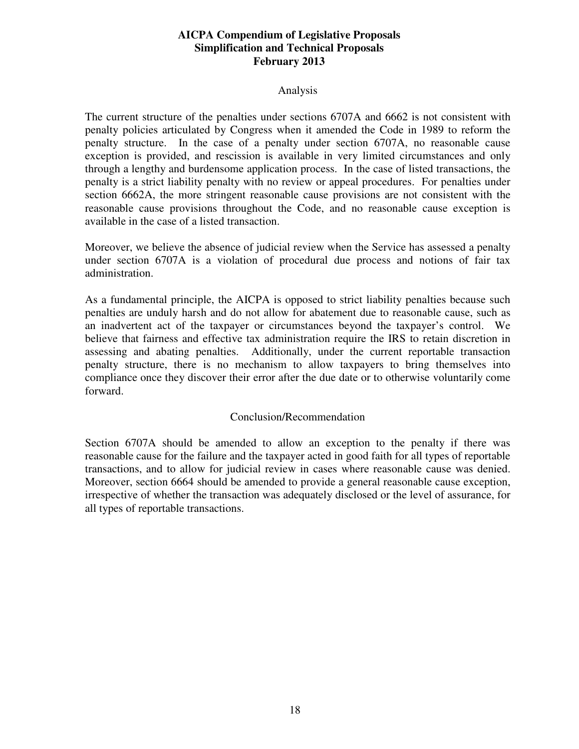#### Analysis

The current structure of the penalties under sections 6707A and 6662 is not consistent with penalty policies articulated by Congress when it amended the Code in 1989 to reform the penalty structure. In the case of a penalty under section 6707A, no reasonable cause exception is provided, and rescission is available in very limited circumstances and only through a lengthy and burdensome application process. In the case of listed transactions, the penalty is a strict liability penalty with no review or appeal procedures. For penalties under section 6662A, the more stringent reasonable cause provisions are not consistent with the reasonable cause provisions throughout the Code, and no reasonable cause exception is available in the case of a listed transaction.

Moreover, we believe the absence of judicial review when the Service has assessed a penalty under section 6707A is a violation of procedural due process and notions of fair tax administration.

As a fundamental principle, the AICPA is opposed to strict liability penalties because such penalties are unduly harsh and do not allow for abatement due to reasonable cause, such as an inadvertent act of the taxpayer or circumstances beyond the taxpayer's control. We believe that fairness and effective tax administration require the IRS to retain discretion in assessing and abating penalties. Additionally, under the current reportable transaction penalty structure, there is no mechanism to allow taxpayers to bring themselves into compliance once they discover their error after the due date or to otherwise voluntarily come forward.

## Conclusion/Recommendation

Section 6707A should be amended to allow an exception to the penalty if there was reasonable cause for the failure and the taxpayer acted in good faith for all types of reportable transactions, and to allow for judicial review in cases where reasonable cause was denied. Moreover, section 6664 should be amended to provide a general reasonable cause exception, irrespective of whether the transaction was adequately disclosed or the level of assurance, for all types of reportable transactions.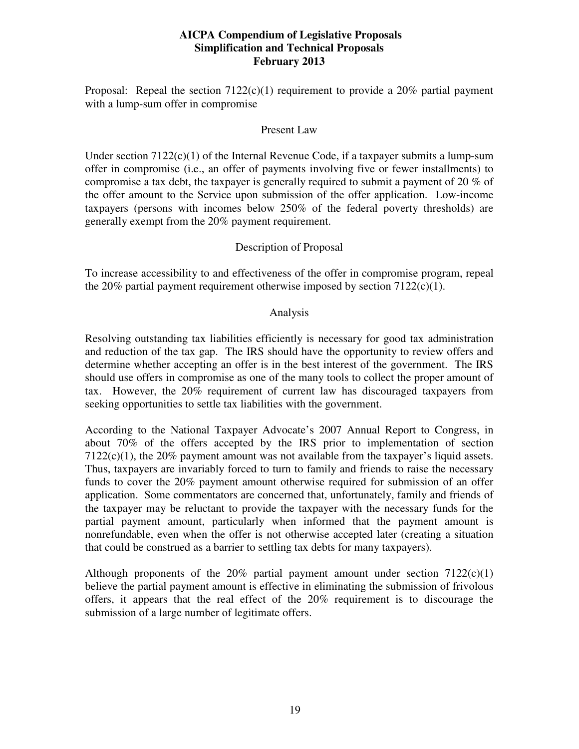Proposal: Repeal the section  $7122(c)(1)$  requirement to provide a 20% partial payment with a lump-sum offer in compromise

#### Present Law

Under section  $7122(c)(1)$  of the Internal Revenue Code, if a taxpayer submits a lump-sum offer in compromise (i.e., an offer of payments involving five or fewer installments) to compromise a tax debt, the taxpayer is generally required to submit a payment of 20 % of the offer amount to the Service upon submission of the offer application. Low-income taxpayers (persons with incomes below 250% of the federal poverty thresholds) are generally exempt from the 20% payment requirement.

## Description of Proposal

To increase accessibility to and effectiveness of the offer in compromise program, repeal the 20% partial payment requirement otherwise imposed by section  $7122(c)(1)$ .

## Analysis

Resolving outstanding tax liabilities efficiently is necessary for good tax administration and reduction of the tax gap. The IRS should have the opportunity to review offers and determine whether accepting an offer is in the best interest of the government. The IRS should use offers in compromise as one of the many tools to collect the proper amount of tax. However, the 20% requirement of current law has discouraged taxpayers from seeking opportunities to settle tax liabilities with the government.

According to the National Taxpayer Advocate's 2007 Annual Report to Congress, in about 70% of the offers accepted by the IRS prior to implementation of section  $7122(c)(1)$ , the 20% payment amount was not available from the taxpayer's liquid assets. Thus, taxpayers are invariably forced to turn to family and friends to raise the necessary funds to cover the 20% payment amount otherwise required for submission of an offer application. Some commentators are concerned that, unfortunately, family and friends of the taxpayer may be reluctant to provide the taxpayer with the necessary funds for the partial payment amount, particularly when informed that the payment amount is nonrefundable, even when the offer is not otherwise accepted later (creating a situation that could be construed as a barrier to settling tax debts for many taxpayers).

Although proponents of the  $20\%$  partial payment amount under section  $7122(c)(1)$ believe the partial payment amount is effective in eliminating the submission of frivolous offers, it appears that the real effect of the 20% requirement is to discourage the submission of a large number of legitimate offers.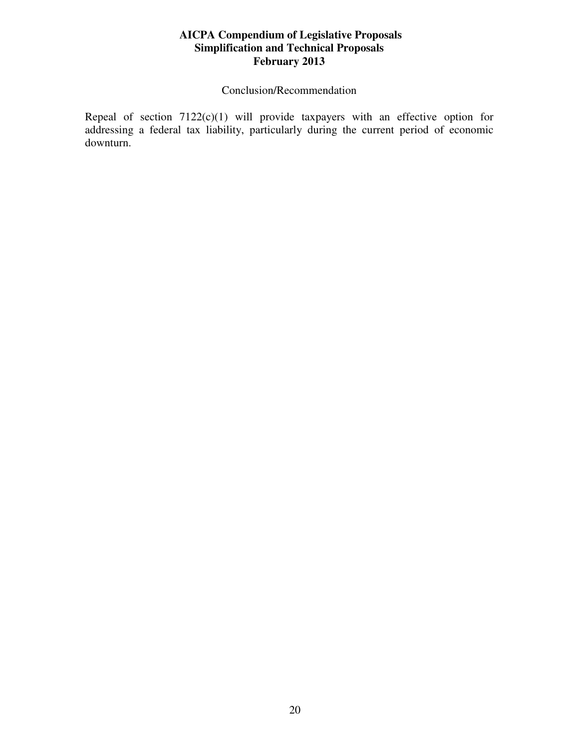## Conclusion/Recommendation

Repeal of section 7122(c)(1) will provide taxpayers with an effective option for addressing a federal tax liability, particularly during the current period of economic downturn.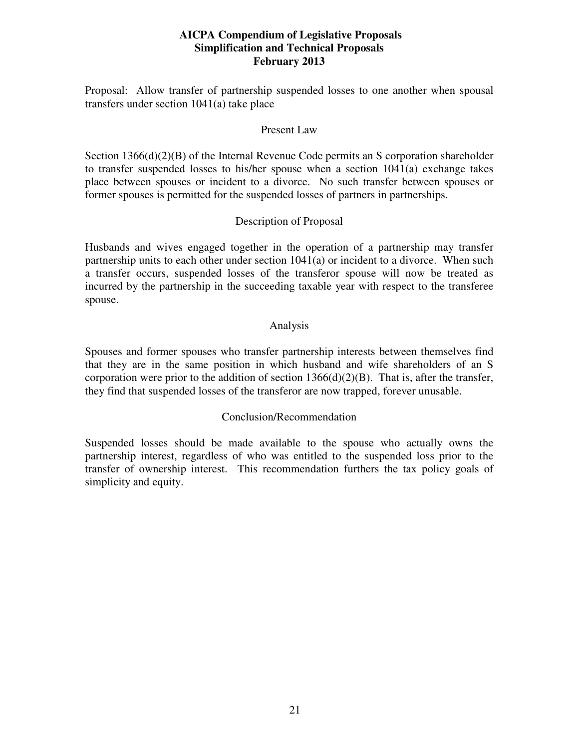Proposal: Allow transfer of partnership suspended losses to one another when spousal transfers under section 1041(a) take place

#### Present Law

Section 1366(d)(2)(B) of the Internal Revenue Code permits an S corporation shareholder to transfer suspended losses to his/her spouse when a section 1041(a) exchange takes place between spouses or incident to a divorce. No such transfer between spouses or former spouses is permitted for the suspended losses of partners in partnerships.

## Description of Proposal

Husbands and wives engaged together in the operation of a partnership may transfer partnership units to each other under section 1041(a) or incident to a divorce. When such a transfer occurs, suspended losses of the transferor spouse will now be treated as incurred by the partnership in the succeeding taxable year with respect to the transferee spouse.

## Analysis

Spouses and former spouses who transfer partnership interests between themselves find that they are in the same position in which husband and wife shareholders of an S corporation were prior to the addition of section  $1366(d)(2)(B)$ . That is, after the transfer, they find that suspended losses of the transferor are now trapped, forever unusable.

## Conclusion/Recommendation

Suspended losses should be made available to the spouse who actually owns the partnership interest, regardless of who was entitled to the suspended loss prior to the transfer of ownership interest. This recommendation furthers the tax policy goals of simplicity and equity.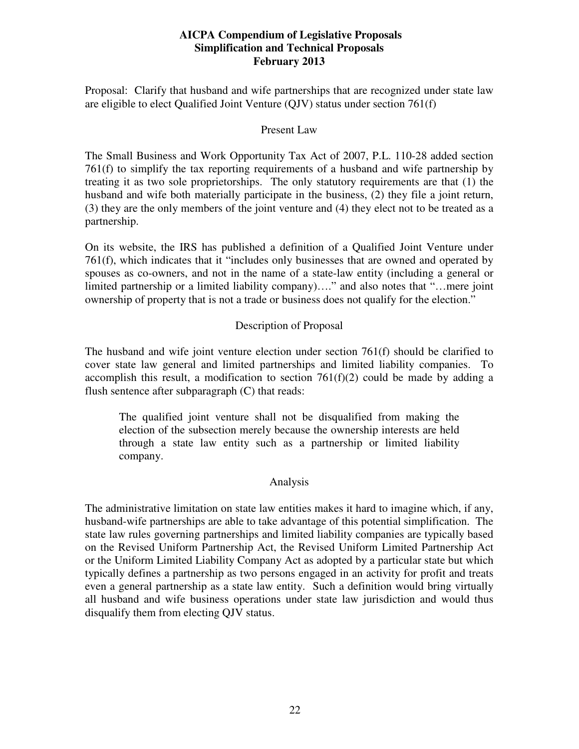Proposal: Clarify that husband and wife partnerships that are recognized under state law are eligible to elect Qualified Joint Venture (QJV) status under section 761(f)

#### Present Law

The Small Business and Work Opportunity Tax Act of 2007, P.L. 110-28 added section 761(f) to simplify the tax reporting requirements of a husband and wife partnership by treating it as two sole proprietorships. The only statutory requirements are that (1) the husband and wife both materially participate in the business, (2) they file a joint return, (3) they are the only members of the joint venture and (4) they elect not to be treated as a partnership.

On its website, the IRS has published a definition of a Qualified Joint Venture under 761(f), which indicates that it "includes only businesses that are owned and operated by spouses as co-owners, and not in the name of a state-law entity (including a general or limited partnership or a limited liability company)…." and also notes that "…mere joint ownership of property that is not a trade or business does not qualify for the election."

## Description of Proposal

The husband and wife joint venture election under section 761(f) should be clarified to cover state law general and limited partnerships and limited liability companies. To accomplish this result, a modification to section  $761(f)(2)$  could be made by adding a flush sentence after subparagraph (C) that reads:

The qualified joint venture shall not be disqualified from making the election of the subsection merely because the ownership interests are held through a state law entity such as a partnership or limited liability company.

## Analysis

The administrative limitation on state law entities makes it hard to imagine which, if any, husband-wife partnerships are able to take advantage of this potential simplification. The state law rules governing partnerships and limited liability companies are typically based on the Revised Uniform Partnership Act, the Revised Uniform Limited Partnership Act or the Uniform Limited Liability Company Act as adopted by a particular state but which typically defines a partnership as two persons engaged in an activity for profit and treats even a general partnership as a state law entity. Such a definition would bring virtually all husband and wife business operations under state law jurisdiction and would thus disqualify them from electing QJV status.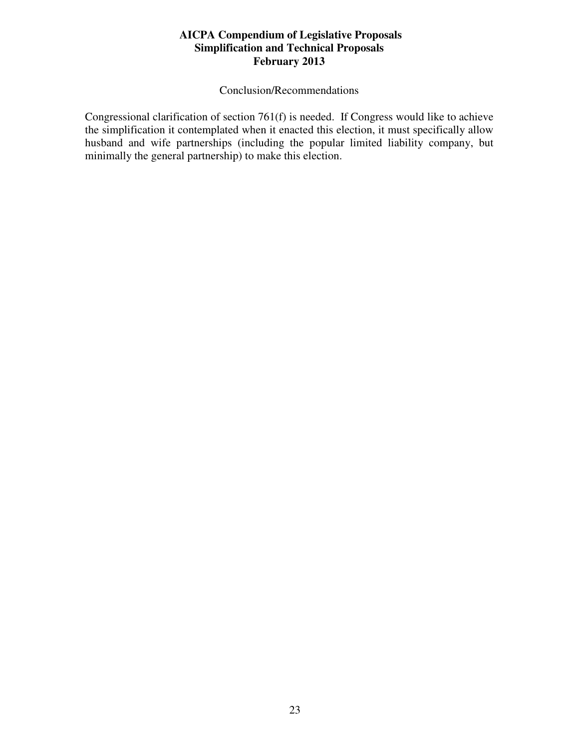## Conclusion/Recommendations

Congressional clarification of section 761(f) is needed. If Congress would like to achieve the simplification it contemplated when it enacted this election, it must specifically allow husband and wife partnerships (including the popular limited liability company, but minimally the general partnership) to make this election.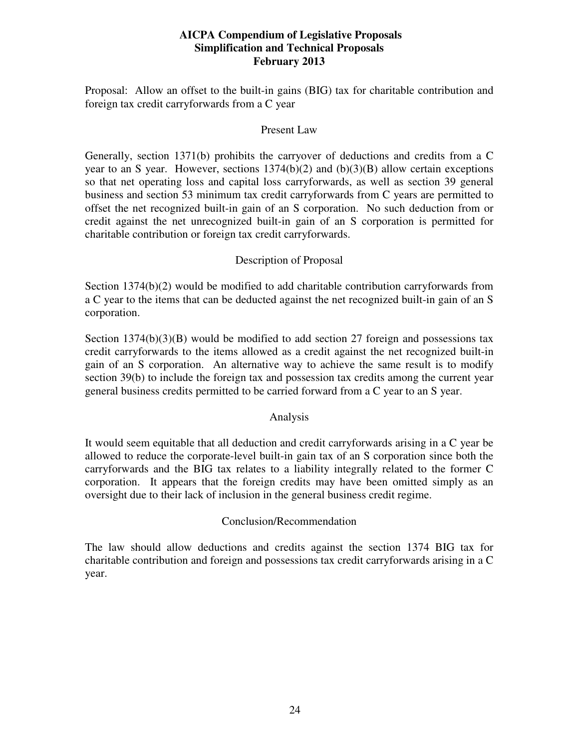Proposal: Allow an offset to the built-in gains (BIG) tax for charitable contribution and foreign tax credit carryforwards from a C year

#### Present Law

Generally, section 1371(b) prohibits the carryover of deductions and credits from a C year to an S year. However, sections  $1374(b)(2)$  and  $(b)(3)(B)$  allow certain exceptions so that net operating loss and capital loss carryforwards, as well as section 39 general business and section 53 minimum tax credit carryforwards from C years are permitted to offset the net recognized built-in gain of an S corporation. No such deduction from or credit against the net unrecognized built-in gain of an S corporation is permitted for charitable contribution or foreign tax credit carryforwards.

## Description of Proposal

Section 1374(b)(2) would be modified to add charitable contribution carryforwards from a C year to the items that can be deducted against the net recognized built-in gain of an S corporation.

Section 1374(b)(3)(B) would be modified to add section 27 foreign and possessions tax credit carryforwards to the items allowed as a credit against the net recognized built-in gain of an S corporation. An alternative way to achieve the same result is to modify section 39(b) to include the foreign tax and possession tax credits among the current year general business credits permitted to be carried forward from a C year to an S year.

## Analysis

It would seem equitable that all deduction and credit carryforwards arising in a C year be allowed to reduce the corporate-level built-in gain tax of an S corporation since both the carryforwards and the BIG tax relates to a liability integrally related to the former C corporation. It appears that the foreign credits may have been omitted simply as an oversight due to their lack of inclusion in the general business credit regime.

## Conclusion/Recommendation

The law should allow deductions and credits against the section 1374 BIG tax for charitable contribution and foreign and possessions tax credit carryforwards arising in a C year.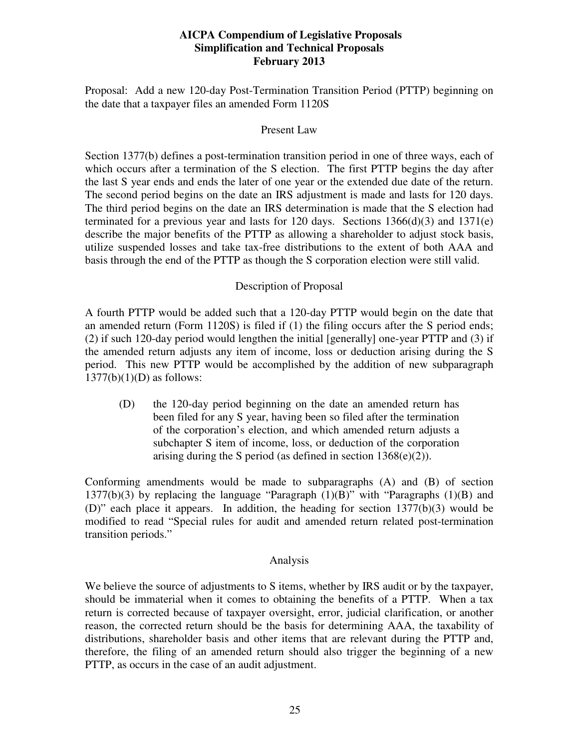Proposal: Add a new 120-day Post-Termination Transition Period (PTTP) beginning on the date that a taxpayer files an amended Form 1120S

#### Present Law

Section 1377(b) defines a post-termination transition period in one of three ways, each of which occurs after a termination of the S election. The first PTTP begins the day after the last S year ends and ends the later of one year or the extended due date of the return. The second period begins on the date an IRS adjustment is made and lasts for 120 days. The third period begins on the date an IRS determination is made that the S election had terminated for a previous year and lasts for 120 days. Sections  $1366(d)(3)$  and  $1371(e)$ describe the major benefits of the PTTP as allowing a shareholder to adjust stock basis, utilize suspended losses and take tax-free distributions to the extent of both AAA and basis through the end of the PTTP as though the S corporation election were still valid.

## Description of Proposal

A fourth PTTP would be added such that a 120-day PTTP would begin on the date that an amended return (Form 1120S) is filed if (1) the filing occurs after the S period ends; (2) if such 120-day period would lengthen the initial [generally] one-year PTTP and (3) if the amended return adjusts any item of income, loss or deduction arising during the S period. This new PTTP would be accomplished by the addition of new subparagraph  $1377(b)(1)(D)$  as follows:

 (D) the 120-day period beginning on the date an amended return has been filed for any S year, having been so filed after the termination of the corporation's election, and which amended return adjusts a subchapter S item of income, loss, or deduction of the corporation arising during the S period (as defined in section 1368(e)(2)).

Conforming amendments would be made to subparagraphs (A) and (B) of section 1377(b)(3) by replacing the language "Paragraph (1)(B)" with "Paragraphs (1)(B) and (D)" each place it appears. In addition, the heading for section 1377(b)(3) would be modified to read "Special rules for audit and amended return related post-termination transition periods."

#### Analysis

We believe the source of adjustments to S items, whether by IRS audit or by the taxpayer, should be immaterial when it comes to obtaining the benefits of a PTTP. When a tax return is corrected because of taxpayer oversight, error, judicial clarification, or another reason, the corrected return should be the basis for determining AAA, the taxability of distributions, shareholder basis and other items that are relevant during the PTTP and, therefore, the filing of an amended return should also trigger the beginning of a new PTTP, as occurs in the case of an audit adjustment.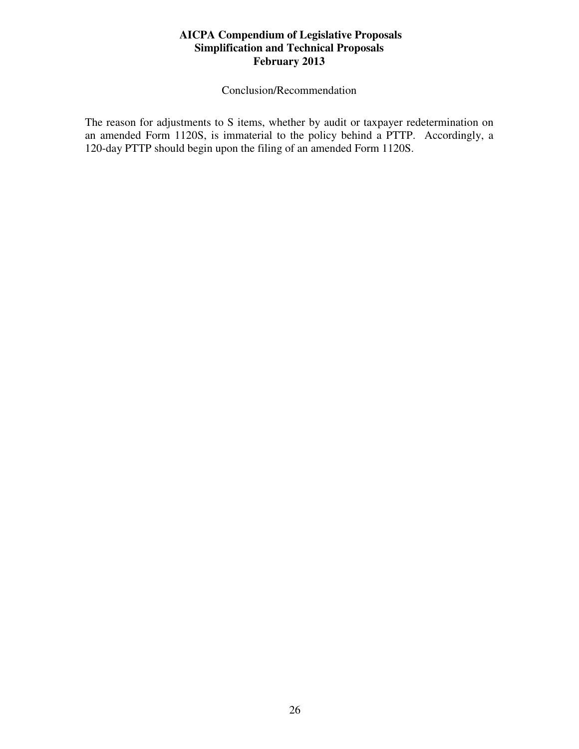Conclusion/Recommendation

The reason for adjustments to S items, whether by audit or taxpayer redetermination on an amended Form 1120S, is immaterial to the policy behind a PTTP. Accordingly, a 120-day PTTP should begin upon the filing of an amended Form 1120S.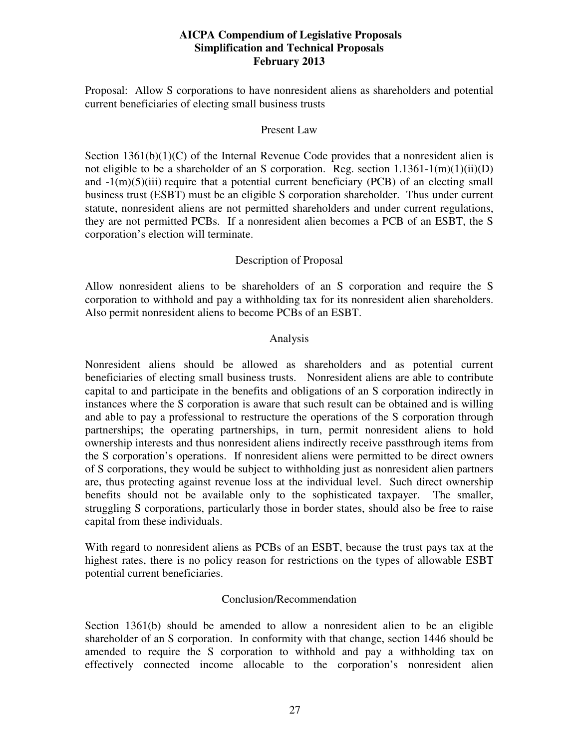Proposal: Allow S corporations to have nonresident aliens as shareholders and potential current beneficiaries of electing small business trusts

#### Present Law

Section  $1361(b)(1)(C)$  of the Internal Revenue Code provides that a nonresident alien is not eligible to be a shareholder of an S corporation. Reg. section  $1.1361 - 1(m)(1)(ii)(D)$ and  $-1(m)(5)(iii)$  require that a potential current beneficiary (PCB) of an electing small business trust (ESBT) must be an eligible S corporation shareholder. Thus under current statute, nonresident aliens are not permitted shareholders and under current regulations, they are not permitted PCBs. If a nonresident alien becomes a PCB of an ESBT, the S corporation's election will terminate.

## Description of Proposal

Allow nonresident aliens to be shareholders of an S corporation and require the S corporation to withhold and pay a withholding tax for its nonresident alien shareholders. Also permit nonresident aliens to become PCBs of an ESBT.

#### Analysis

Nonresident aliens should be allowed as shareholders and as potential current beneficiaries of electing small business trusts. Nonresident aliens are able to contribute capital to and participate in the benefits and obligations of an S corporation indirectly in instances where the S corporation is aware that such result can be obtained and is willing and able to pay a professional to restructure the operations of the S corporation through partnerships; the operating partnerships, in turn, permit nonresident aliens to hold ownership interests and thus nonresident aliens indirectly receive passthrough items from the S corporation's operations. If nonresident aliens were permitted to be direct owners of S corporations, they would be subject to withholding just as nonresident alien partners are, thus protecting against revenue loss at the individual level. Such direct ownership benefits should not be available only to the sophisticated taxpayer. The smaller, struggling S corporations, particularly those in border states, should also be free to raise capital from these individuals.

With regard to nonresident aliens as PCBs of an ESBT, because the trust pays tax at the highest rates, there is no policy reason for restrictions on the types of allowable ESBT potential current beneficiaries.

#### Conclusion/Recommendation

Section 1361(b) should be amended to allow a nonresident alien to be an eligible shareholder of an S corporation. In conformity with that change, section 1446 should be amended to require the S corporation to withhold and pay a withholding tax on effectively connected income allocable to the corporation's nonresident alien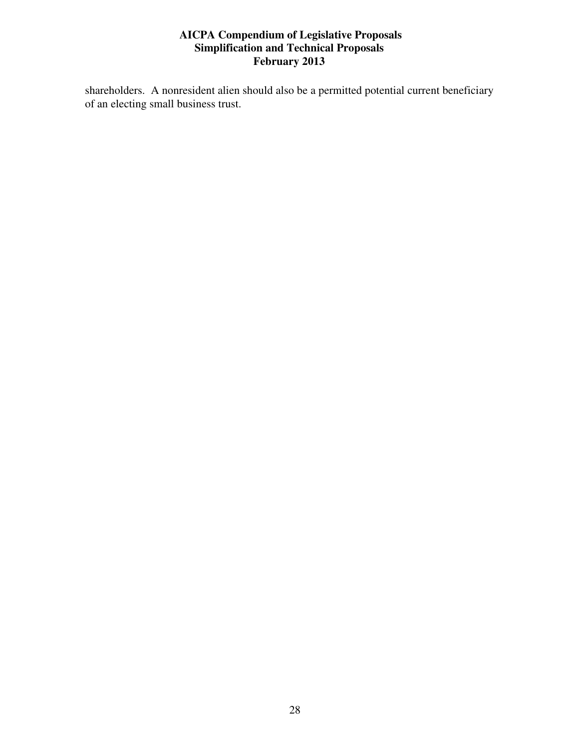shareholders. A nonresident alien should also be a permitted potential current beneficiary of an electing small business trust.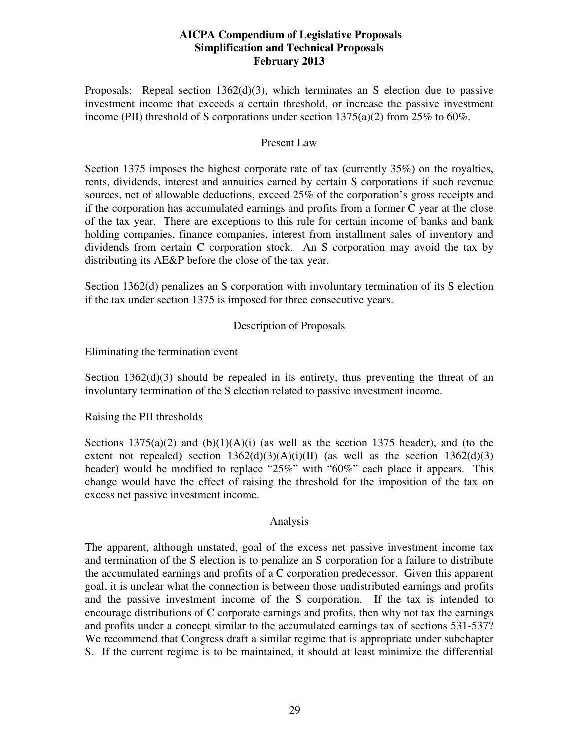Proposals: Repeal section  $1362(d)(3)$ , which terminates an S election due to passive investment income that exceeds a certain threshold, or increase the passive investment income (PII) threshold of S corporations under section 1375(a)(2) from 25% to 60%.

#### Present Law

Section 1375 imposes the highest corporate rate of tax (currently 35%) on the royalties, rents, dividends, interest and annuities earned by certain S corporations if such revenue sources, net of allowable deductions, exceed 25% of the corporation's gross receipts and if the corporation has accumulated earnings and profits from a former C year at the close of the tax year. There are exceptions to this rule for certain income of banks and bank holding companies, finance companies, interest from installment sales of inventory and dividends from certain C corporation stock. An S corporation may avoid the tax by distributing its AE&P before the close of the tax year.

Section 1362(d) penalizes an S corporation with involuntary termination of its S election if the tax under section 1375 is imposed for three consecutive years.

## Description of Proposals

## Eliminating the termination event

Section  $1362(d)(3)$  should be repealed in its entirety, thus preventing the threat of an involuntary termination of the S election related to passive investment income.

## Raising the PII thresholds

Sections  $1375(a)(2)$  and  $(b)(1)(A)(i)$  (as well as the section 1375 header), and (to the extent not repealed) section  $1362(d)(3)(A)(i)(II)$  (as well as the section  $1362(d)(3)$ header) would be modified to replace "25%" with "60%" each place it appears. This change would have the effect of raising the threshold for the imposition of the tax on excess net passive investment income.

#### Analysis

The apparent, although unstated, goal of the excess net passive investment income tax and termination of the S election is to penalize an S corporation for a failure to distribute the accumulated earnings and profits of a C corporation predecessor. Given this apparent goal, it is unclear what the connection is between those undistributed earnings and profits and the passive investment income of the S corporation. If the tax is intended to encourage distributions of C corporate earnings and profits, then why not tax the earnings and profits under a concept similar to the accumulated earnings tax of sections 531-537? We recommend that Congress draft a similar regime that is appropriate under subchapter S. If the current regime is to be maintained, it should at least minimize the differential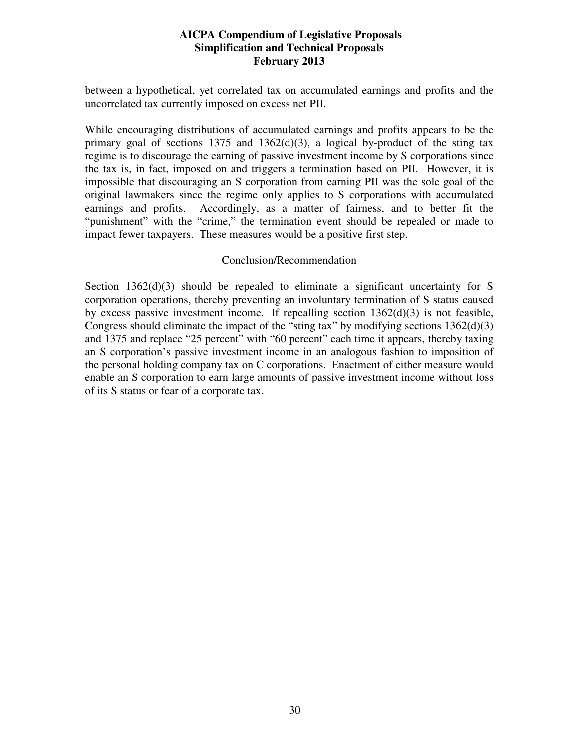between a hypothetical, yet correlated tax on accumulated earnings and profits and the uncorrelated tax currently imposed on excess net PII.

While encouraging distributions of accumulated earnings and profits appears to be the primary goal of sections 1375 and 1362 $(d)(3)$ , a logical by-product of the sting tax regime is to discourage the earning of passive investment income by S corporations since the tax is, in fact, imposed on and triggers a termination based on PII. However, it is impossible that discouraging an S corporation from earning PII was the sole goal of the original lawmakers since the regime only applies to S corporations with accumulated earnings and profits. Accordingly, as a matter of fairness, and to better fit the "punishment" with the "crime," the termination event should be repealed or made to impact fewer taxpayers. These measures would be a positive first step.

## Conclusion/Recommendation

Section 1362(d)(3) should be repealed to eliminate a significant uncertainty for S corporation operations, thereby preventing an involuntary termination of S status caused by excess passive investment income. If repealling section 1362(d)(3) is not feasible, Congress should eliminate the impact of the "sting tax" by modifying sections 1362(d)(3) and 1375 and replace "25 percent" with "60 percent" each time it appears, thereby taxing an S corporation's passive investment income in an analogous fashion to imposition of the personal holding company tax on C corporations. Enactment of either measure would enable an S corporation to earn large amounts of passive investment income without loss of its S status or fear of a corporate tax.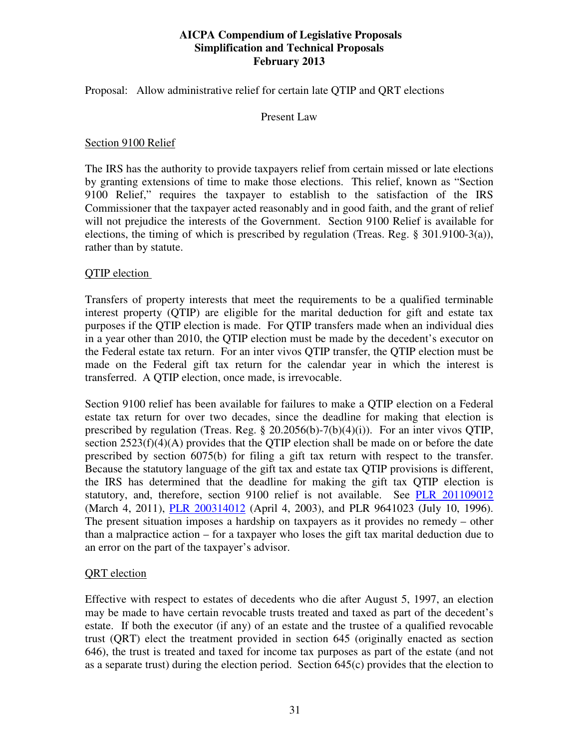Proposal: Allow administrative relief for certain late QTIP and QRT elections

## Present Law

#### Section 9100 Relief

The IRS has the authority to provide taxpayers relief from certain missed or late elections by granting extensions of time to make those elections. This relief, known as "Section 9100 Relief," requires the taxpayer to establish to the satisfaction of the IRS Commissioner that the taxpayer acted reasonably and in good faith, and the grant of relief will not prejudice the interests of the Government. Section 9100 Relief is available for elections, the timing of which is prescribed by regulation (Treas. Reg. § 301.9100-3(a)), rather than by statute.

#### QTIP election

Transfers of property interests that meet the requirements to be a qualified terminable interest property (QTIP) are eligible for the marital deduction for gift and estate tax purposes if the QTIP election is made. For QTIP transfers made when an individual dies in a year other than 2010, the QTIP election must be made by the decedent's executor on the Federal estate tax return. For an inter vivos QTIP transfer, the QTIP election must be made on the Federal gift tax return for the calendar year in which the interest is transferred. A QTIP election, once made, is irrevocable.

Section 9100 relief has been available for failures to make a QTIP election on a Federal estate tax return for over two decades, since the deadline for making that election is prescribed by regulation (Treas. Reg. § 20.2056(b)-7(b)(4)(i)). For an inter vivos QTIP, section 2523(f)(4)(A) provides that the QTIP election shall be made on or before the date prescribed by section 6075(b) for filing a gift tax return with respect to the transfer. Because the statutory language of the gift tax and estate tax QTIP provisions is different, the IRS has determined that the deadline for making the gift tax QTIP election is statutory, and, therefore, section 9100 relief is not available. See PLR 201109012 (March 4, 2011), PLR 200314012 (April 4, 2003), and PLR 9641023 (July 10, 1996). The present situation imposes a hardship on taxpayers as it provides no remedy – other than a malpractice action – for a taxpayer who loses the gift tax marital deduction due to an error on the part of the taxpayer's advisor.

## QRT election

Effective with respect to estates of decedents who die after August 5, 1997, an election may be made to have certain revocable trusts treated and taxed as part of the decedent's estate. If both the executor (if any) of an estate and the trustee of a qualified revocable trust (QRT) elect the treatment provided in section 645 (originally enacted as section 646), the trust is treated and taxed for income tax purposes as part of the estate (and not as a separate trust) during the election period. Section  $645(c)$  provides that the election to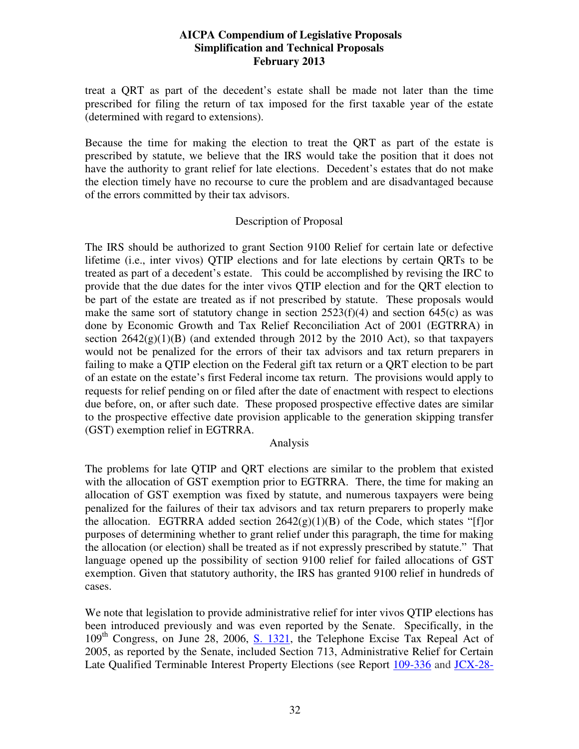treat a QRT as part of the decedent's estate shall be made not later than the time prescribed for filing the return of tax imposed for the first taxable year of the estate (determined with regard to extensions).

Because the time for making the election to treat the QRT as part of the estate is prescribed by statute, we believe that the IRS would take the position that it does not have the authority to grant relief for late elections. Decedent's estates that do not make the election timely have no recourse to cure the problem and are disadvantaged because of the errors committed by their tax advisors.

#### Description of Proposal

The IRS should be authorized to grant Section 9100 Relief for certain late or defective lifetime (i.e., inter vivos) QTIP elections and for late elections by certain QRTs to be treated as part of a decedent's estate. This could be accomplished by revising the IRC to provide that the due dates for the inter vivos QTIP election and for the QRT election to be part of the estate are treated as if not prescribed by statute. These proposals would make the same sort of statutory change in section  $2523(f)(4)$  and section  $645(c)$  as was done by Economic Growth and Tax Relief Reconciliation Act of 2001 (EGTRRA) in section  $2642(g)(1)(B)$  (and extended through 2012 by the 2010 Act), so that taxpayers would not be penalized for the errors of their tax advisors and tax return preparers in failing to make a QTIP election on the Federal gift tax return or a QRT election to be part of an estate on the estate's first Federal income tax return. The provisions would apply to requests for relief pending on or filed after the date of enactment with respect to elections due before, on, or after such date. These proposed prospective effective dates are similar to the prospective effective date provision applicable to the generation skipping transfer (GST) exemption relief in EGTRRA.

#### Analysis

The problems for late QTIP and QRT elections are similar to the problem that existed with the allocation of GST exemption prior to EGTRRA. There, the time for making an allocation of GST exemption was fixed by statute, and numerous taxpayers were being penalized for the failures of their tax advisors and tax return preparers to properly make the allocation. EGTRRA added section  $2642(g)(1)(B)$  of the Code, which states "[f]or purposes of determining whether to grant relief under this paragraph, the time for making the allocation (or election) shall be treated as if not expressly prescribed by statute." That language opened up the possibility of section 9100 relief for failed allocations of GST exemption. Given that statutory authority, the IRS has granted 9100 relief in hundreds of cases.

We note that legislation to provide administrative relief for inter vivos OTIP elections has been introduced previously and was even reported by the Senate. Specifically, in the 109<sup>th</sup> Congress, on June 28, 2006, S. 1321, the Telephone Excise Tax Repeal Act of 2005, as reported by the Senate, included Section 713, Administrative Relief for Certain Late Qualified Terminable Interest Property Elections (see Report 109-336 and JCX-28-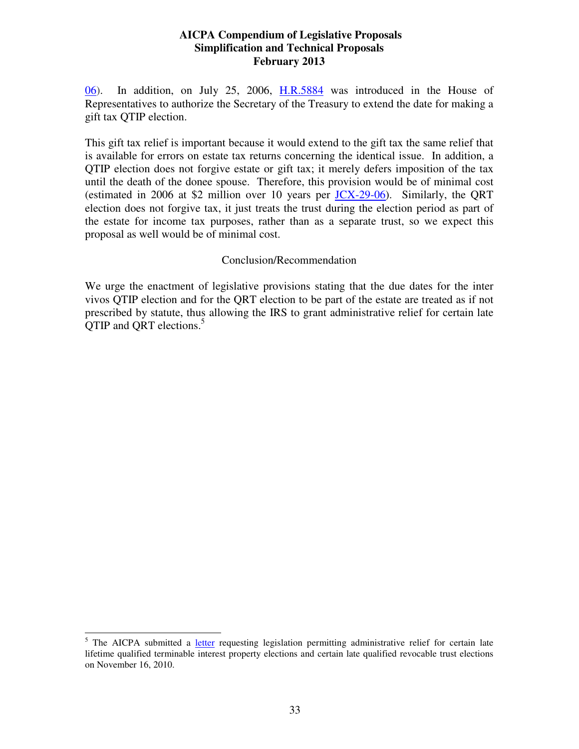06). In addition, on July 25, 2006, H.R.5884 was introduced in the House of Representatives to authorize the Secretary of the Treasury to extend the date for making a gift tax QTIP election.

This gift tax relief is important because it would extend to the gift tax the same relief that is available for errors on estate tax returns concerning the identical issue. In addition, a QTIP election does not forgive estate or gift tax; it merely defers imposition of the tax until the death of the donee spouse. Therefore, this provision would be of minimal cost (estimated in 2006 at \$2 million over 10 years per JCX-29-06). Similarly, the QRT election does not forgive tax, it just treats the trust during the election period as part of the estate for income tax purposes, rather than as a separate trust, so we expect this proposal as well would be of minimal cost.

## Conclusion/Recommendation

We urge the enactment of legislative provisions stating that the due dates for the inter vivos QTIP election and for the QRT election to be part of the estate are treated as if not prescribed by statute, thus allowing the IRS to grant administrative relief for certain late QTIP and QRT elections.<sup>5</sup>

<sup>&</sup>lt;sup>5</sup> The AICPA submitted a letter requesting legislation permitting administrative relief for certain late lifetime qualified terminable interest property elections and certain late qualified revocable trust elections on November 16, 2010.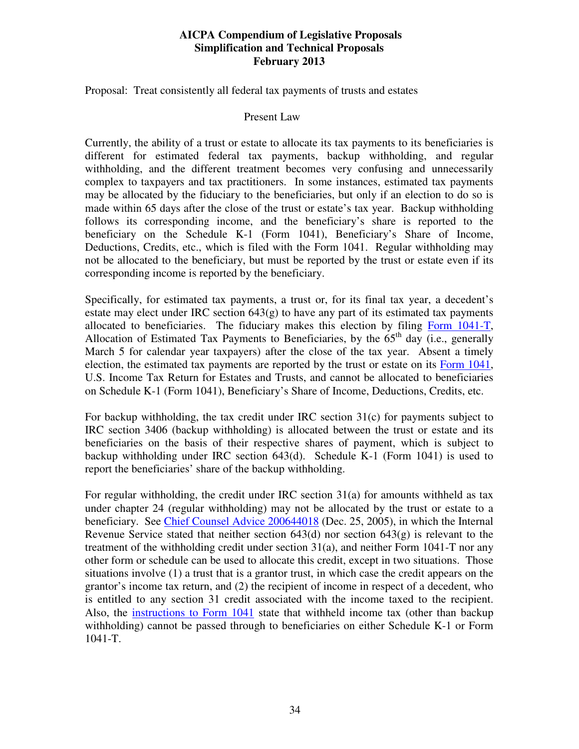Proposal: Treat consistently all federal tax payments of trusts and estates

#### Present Law

Currently, the ability of a trust or estate to allocate its tax payments to its beneficiaries is different for estimated federal tax payments, backup withholding, and regular withholding, and the different treatment becomes very confusing and unnecessarily complex to taxpayers and tax practitioners. In some instances, estimated tax payments may be allocated by the fiduciary to the beneficiaries, but only if an election to do so is made within 65 days after the close of the trust or estate's tax year. Backup withholding follows its corresponding income, and the beneficiary's share is reported to the beneficiary on the Schedule K-1 (Form 1041), Beneficiary's Share of Income, Deductions, Credits, etc., which is filed with the Form 1041. Regular withholding may not be allocated to the beneficiary, but must be reported by the trust or estate even if its corresponding income is reported by the beneficiary.

Specifically, for estimated tax payments, a trust or, for its final tax year, a decedent's estate may elect under IRC section  $643(g)$  to have any part of its estimated tax payments allocated to beneficiaries. The fiduciary makes this election by filing Form 1041-T, Allocation of Estimated Tax Payments to Beneficiaries, by the  $65<sup>th</sup>$  day (i.e., generally March 5 for calendar year taxpayers) after the close of the tax year. Absent a timely election, the estimated tax payments are reported by the trust or estate on its Form 1041, U.S. Income Tax Return for Estates and Trusts, and cannot be allocated to beneficiaries on Schedule K-1 (Form 1041), Beneficiary's Share of Income, Deductions, Credits, etc.

For backup withholding, the tax credit under IRC section 31(c) for payments subject to IRC section 3406 (backup withholding) is allocated between the trust or estate and its beneficiaries on the basis of their respective shares of payment, which is subject to backup withholding under IRC section 643(d). Schedule K-1 (Form 1041) is used to report the beneficiaries' share of the backup withholding.

For regular withholding, the credit under IRC section 31(a) for amounts withheld as tax under chapter 24 (regular withholding) may not be allocated by the trust or estate to a beneficiary. See Chief Counsel Advice 200644018 (Dec. 25, 2005), in which the Internal Revenue Service stated that neither section  $643(d)$  nor section  $643(g)$  is relevant to the treatment of the withholding credit under section  $31(a)$ , and neither Form 1041-T nor any other form or schedule can be used to allocate this credit, except in two situations. Those situations involve (1) a trust that is a grantor trust, in which case the credit appears on the grantor's income tax return, and (2) the recipient of income in respect of a decedent, who is entitled to any section 31 credit associated with the income taxed to the recipient. Also, the instructions to Form 1041 state that withheld income tax (other than backup withholding) cannot be passed through to beneficiaries on either Schedule K-1 or Form 1041-T.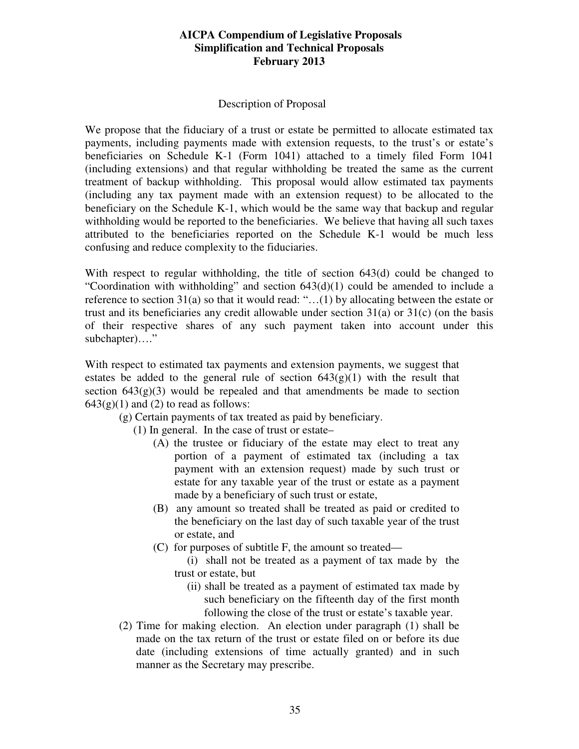### Description of Proposal

We propose that the fiduciary of a trust or estate be permitted to allocate estimated tax payments, including payments made with extension requests, to the trust's or estate's beneficiaries on Schedule K-1 (Form 1041) attached to a timely filed Form 1041 (including extensions) and that regular withholding be treated the same as the current treatment of backup withholding. This proposal would allow estimated tax payments (including any tax payment made with an extension request) to be allocated to the beneficiary on the Schedule K-1, which would be the same way that backup and regular withholding would be reported to the beneficiaries. We believe that having all such taxes attributed to the beneficiaries reported on the Schedule K-1 would be much less confusing and reduce complexity to the fiduciaries.

With respect to regular withholding, the title of section 643(d) could be changed to "Coordination with withholding" and section  $643(d)(1)$  could be amended to include a reference to section 31(a) so that it would read: "…(1) by allocating between the estate or trust and its beneficiaries any credit allowable under section 31(a) or 31(c) (on the basis of their respective shares of any such payment taken into account under this subchapter)...."

With respect to estimated tax payments and extension payments, we suggest that estates be added to the general rule of section  $643(g)(1)$  with the result that section  $643(g)(3)$  would be repealed and that amendments be made to section  $643(g)(1)$  and (2) to read as follows:

- (g) Certain payments of tax treated as paid by beneficiary.
	- (1) In general. In the case of trust or estate–
		- (A) the trustee or fiduciary of the estate may elect to treat any portion of a payment of estimated tax (including a tax payment with an extension request) made by such trust or estate for any taxable year of the trust or estate as a payment made by a beneficiary of such trust or estate,
		- (B) any amount so treated shall be treated as paid or credited to the beneficiary on the last day of such taxable year of the trust or estate, and
		- (C) for purposes of subtitle F, the amount so treated—
			- (i) shall not be treated as a payment of tax made by the trust or estate, but
				- (ii) shall be treated as a payment of estimated tax made by such beneficiary on the fifteenth day of the first month following the close of the trust or estate's taxable year.
- (2) Time for making election. An election under paragraph (1) shall be made on the tax return of the trust or estate filed on or before its due date (including extensions of time actually granted) and in such manner as the Secretary may prescribe.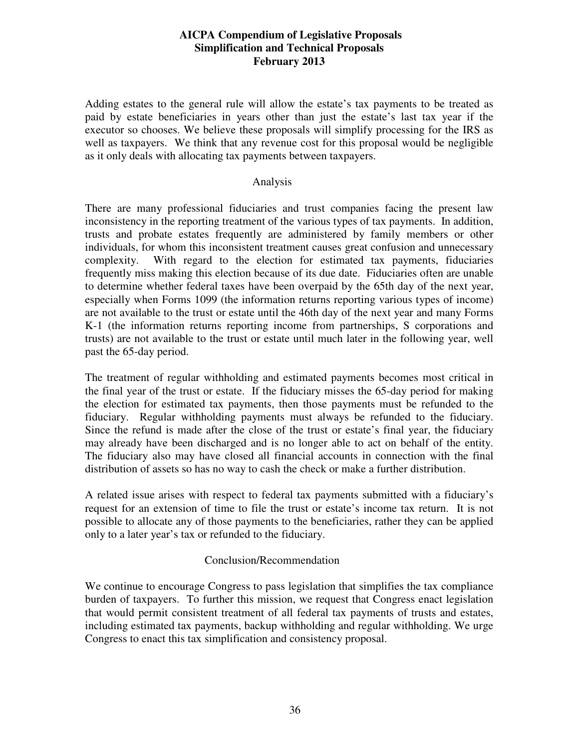Adding estates to the general rule will allow the estate's tax payments to be treated as paid by estate beneficiaries in years other than just the estate's last tax year if the executor so chooses. We believe these proposals will simplify processing for the IRS as well as taxpayers. We think that any revenue cost for this proposal would be negligible as it only deals with allocating tax payments between taxpayers.

#### Analysis

There are many professional fiduciaries and trust companies facing the present law inconsistency in the reporting treatment of the various types of tax payments. In addition, trusts and probate estates frequently are administered by family members or other individuals, for whom this inconsistent treatment causes great confusion and unnecessary complexity. With regard to the election for estimated tax payments, fiduciaries frequently miss making this election because of its due date. Fiduciaries often are unable to determine whether federal taxes have been overpaid by the 65th day of the next year, especially when Forms 1099 (the information returns reporting various types of income) are not available to the trust or estate until the 46th day of the next year and many Forms K-1 (the information returns reporting income from partnerships, S corporations and trusts) are not available to the trust or estate until much later in the following year, well past the 65-day period.

The treatment of regular withholding and estimated payments becomes most critical in the final year of the trust or estate. If the fiduciary misses the 65-day period for making the election for estimated tax payments, then those payments must be refunded to the fiduciary. Regular withholding payments must always be refunded to the fiduciary. Since the refund is made after the close of the trust or estate's final year, the fiduciary may already have been discharged and is no longer able to act on behalf of the entity. The fiduciary also may have closed all financial accounts in connection with the final distribution of assets so has no way to cash the check or make a further distribution.

A related issue arises with respect to federal tax payments submitted with a fiduciary's request for an extension of time to file the trust or estate's income tax return. It is not possible to allocate any of those payments to the beneficiaries, rather they can be applied only to a later year's tax or refunded to the fiduciary.

## Conclusion/Recommendation

We continue to encourage Congress to pass legislation that simplifies the tax compliance burden of taxpayers. To further this mission, we request that Congress enact legislation that would permit consistent treatment of all federal tax payments of trusts and estates, including estimated tax payments, backup withholding and regular withholding. We urge Congress to enact this tax simplification and consistency proposal.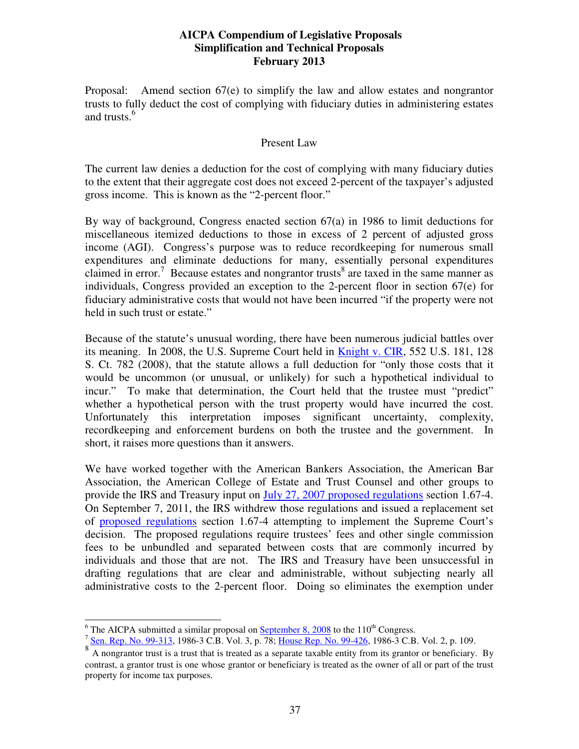Proposal: Amend section 67(e) to simplify the law and allow estates and nongrantor trusts to fully deduct the cost of complying with fiduciary duties in administering estates and trusts.<sup>6</sup>

#### Present Law

The current law denies a deduction for the cost of complying with many fiduciary duties to the extent that their aggregate cost does not exceed 2-percent of the taxpayer's adjusted gross income. This is known as the "2-percent floor."

By way of background, Congress enacted section  $67(a)$  in 1986 to limit deductions for miscellaneous itemized deductions to those in excess of 2 percent of adjusted gross income (AGI). Congress's purpose was to reduce recordkeeping for numerous small expenditures and eliminate deductions for many, essentially personal expenditures claimed in error.<sup>7</sup> Because estates and nongrantor trusts<sup>8</sup> are taxed in the same manner as individuals, Congress provided an exception to the 2-percent floor in section 67(e) for fiduciary administrative costs that would not have been incurred "if the property were not held in such trust or estate."

Because of the statute's unusual wording, there have been numerous judicial battles over its meaning. In 2008, the U.S. Supreme Court held in Knight v. CIR, 552 U.S. 181, 128 S. Ct. 782 (2008), that the statute allows a full deduction for "only those costs that it would be uncommon (or unusual, or unlikely) for such a hypothetical individual to incur." To make that determination, the Court held that the trustee must "predict" whether a hypothetical person with the trust property would have incurred the cost. Unfortunately this interpretation imposes significant uncertainty, complexity, recordkeeping and enforcement burdens on both the trustee and the government. In short, it raises more questions than it answers.

We have worked together with the American Bankers Association, the American Bar Association, the American College of Estate and Trust Counsel and other groups to provide the IRS and Treasury input on July 27, 2007 proposed regulations section 1.67-4. On September 7, 2011, the IRS withdrew those regulations and issued a replacement set of proposed regulations section 1.67-4 attempting to implement the Supreme Court's decision. The proposed regulations require trustees' fees and other single commission fees to be unbundled and separated between costs that are commonly incurred by individuals and those that are not. The IRS and Treasury have been unsuccessful in drafting regulations that are clear and administrable, without subjecting nearly all administrative costs to the 2-percent floor. Doing so eliminates the exemption under

 $\frac{6}{6}$  The AICPA submitted a similar proposal on <u>September 8, 2008</u> to the 110<sup>th</sup> Congress.

<sup>&</sup>lt;sup>7</sup> Sen. Rep. No. 99-313, 1986-3 C.B. Vol. 3, p. 78; House Rep. No. 99-426, 1986-3 C.B. Vol. 2, p. 109.

<sup>8</sup> A nongrantor trust is a trust that is treated as a separate taxable entity from its grantor or beneficiary. By contrast, a grantor trust is one whose grantor or beneficiary is treated as the owner of all or part of the trust property for income tax purposes.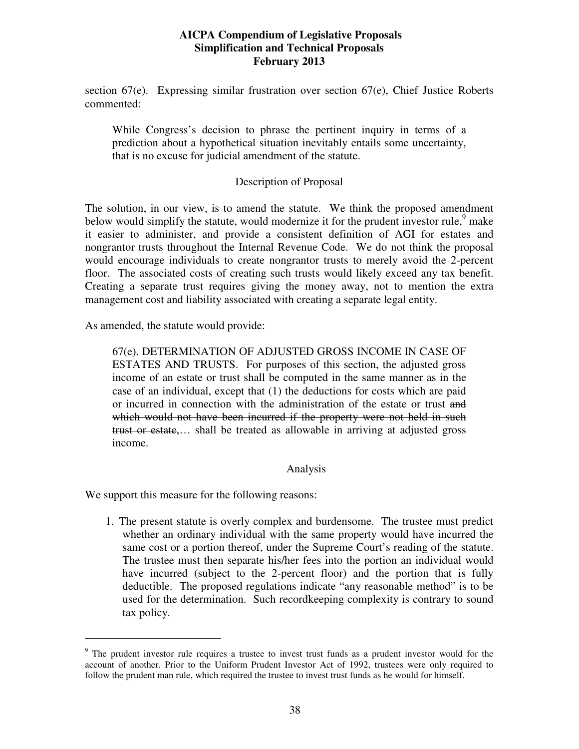section 67(e). Expressing similar frustration over section 67(e), Chief Justice Roberts commented:

While Congress's decision to phrase the pertinent inquiry in terms of a prediction about a hypothetical situation inevitably entails some uncertainty, that is no excuse for judicial amendment of the statute.

## Description of Proposal

The solution, in our view, is to amend the statute. We think the proposed amendment below would simplify the statute, would modernize it for the prudent investor rule,  $9$  make it easier to administer, and provide a consistent definition of AGI for estates and nongrantor trusts throughout the Internal Revenue Code. We do not think the proposal would encourage individuals to create nongrantor trusts to merely avoid the 2-percent floor. The associated costs of creating such trusts would likely exceed any tax benefit. Creating a separate trust requires giving the money away, not to mention the extra management cost and liability associated with creating a separate legal entity.

As amended, the statute would provide:

67(e). DETERMINATION OF ADJUSTED GROSS INCOME IN CASE OF ESTATES AND TRUSTS. For purposes of this section, the adjusted gross income of an estate or trust shall be computed in the same manner as in the case of an individual, except that (1) the deductions for costs which are paid or incurred in connection with the administration of the estate or trust and which would not have been incurred if the property were not held in such trust or estate,… shall be treated as allowable in arriving at adjusted gross income.

## Analysis

We support this measure for the following reasons:

-

1. The present statute is overly complex and burdensome. The trustee must predict whether an ordinary individual with the same property would have incurred the same cost or a portion thereof, under the Supreme Court's reading of the statute. The trustee must then separate his/her fees into the portion an individual would have incurred (subject to the 2-percent floor) and the portion that is fully deductible. The proposed regulations indicate "any reasonable method" is to be used for the determination. Such recordkeeping complexity is contrary to sound tax policy.

<sup>&</sup>lt;sup>9</sup> The prudent investor rule requires a trustee to invest trust funds as a prudent investor would for the account of another. Prior to the Uniform Prudent Investor Act of 1992, trustees were only required to follow the prudent man rule, which required the trustee to invest trust funds as he would for himself.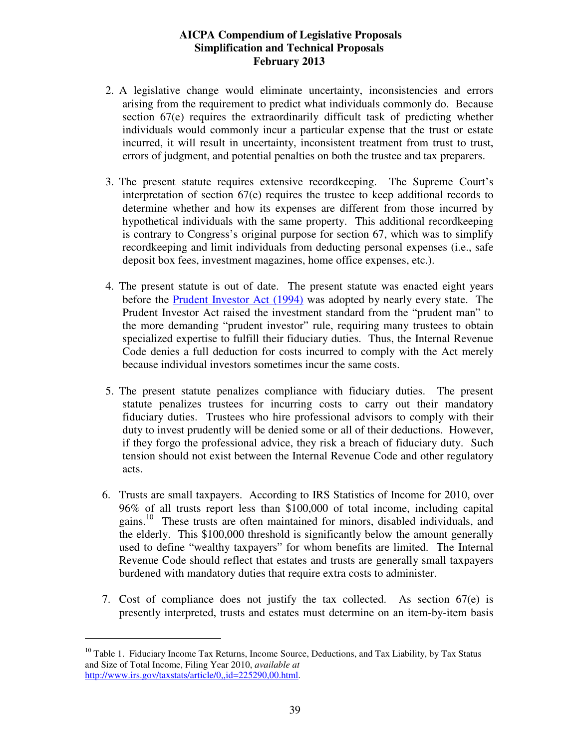- 2. A legislative change would eliminate uncertainty, inconsistencies and errors arising from the requirement to predict what individuals commonly do. Because section 67(e) requires the extraordinarily difficult task of predicting whether individuals would commonly incur a particular expense that the trust or estate incurred, it will result in uncertainty, inconsistent treatment from trust to trust, errors of judgment, and potential penalties on both the trustee and tax preparers.
- 3. The present statute requires extensive recordkeeping. The Supreme Court's interpretation of section 67(e) requires the trustee to keep additional records to determine whether and how its expenses are different from those incurred by hypothetical individuals with the same property. This additional recordkeeping is contrary to Congress's original purpose for section 67, which was to simplify recordkeeping and limit individuals from deducting personal expenses (i.e., safe deposit box fees, investment magazines, home office expenses, etc.).
- 4. The present statute is out of date. The present statute was enacted eight years before the Prudent Investor Act (1994) was adopted by nearly every state. The Prudent Investor Act raised the investment standard from the "prudent man" to the more demanding "prudent investor" rule, requiring many trustees to obtain specialized expertise to fulfill their fiduciary duties. Thus, the Internal Revenue Code denies a full deduction for costs incurred to comply with the Act merely because individual investors sometimes incur the same costs.
- 5. The present statute penalizes compliance with fiduciary duties. The present statute penalizes trustees for incurring costs to carry out their mandatory fiduciary duties. Trustees who hire professional advisors to comply with their duty to invest prudently will be denied some or all of their deductions. However, if they forgo the professional advice, they risk a breach of fiduciary duty. Such tension should not exist between the Internal Revenue Code and other regulatory acts.
- 6. Trusts are small taxpayers. According to IRS Statistics of Income for 2010, over 96% of all trusts report less than \$100,000 of total income, including capital gains.<sup>10</sup> These trusts are often maintained for minors, disabled individuals, and the elderly. This \$100,000 threshold is significantly below the amount generally used to define "wealthy taxpayers" for whom benefits are limited. The Internal Revenue Code should reflect that estates and trusts are generally small taxpayers burdened with mandatory duties that require extra costs to administer.
- 7. Cost of compliance does not justify the tax collected. As section 67(e) is presently interpreted, trusts and estates must determine on an item-by-item basis

-

<sup>&</sup>lt;sup>10</sup> Table 1. Fiduciary Income Tax Returns, Income Source, Deductions, and Tax Liability, by Tax Status and Size of Total Income, Filing Year 2010, *available at*  http://www.irs.gov/taxstats/article/0,,id=225290,00.html.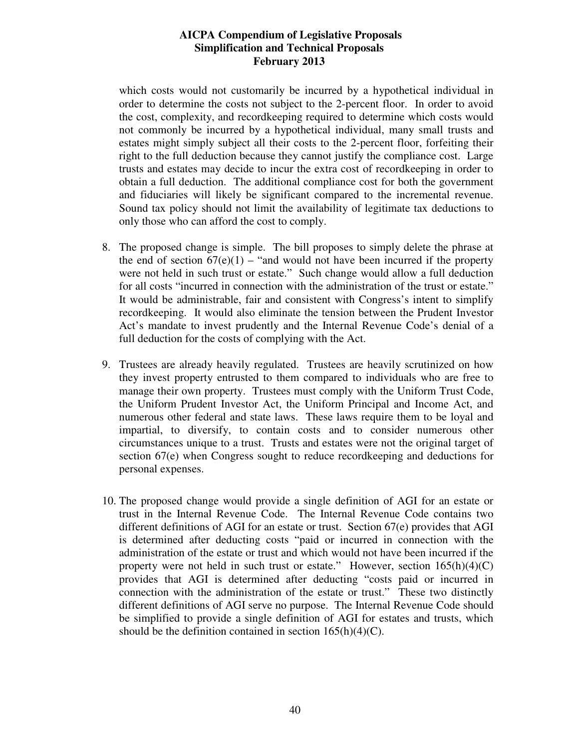which costs would not customarily be incurred by a hypothetical individual in order to determine the costs not subject to the 2-percent floor. In order to avoid the cost, complexity, and recordkeeping required to determine which costs would not commonly be incurred by a hypothetical individual, many small trusts and estates might simply subject all their costs to the 2-percent floor, forfeiting their right to the full deduction because they cannot justify the compliance cost. Large trusts and estates may decide to incur the extra cost of recordkeeping in order to obtain a full deduction. The additional compliance cost for both the government and fiduciaries will likely be significant compared to the incremental revenue. Sound tax policy should not limit the availability of legitimate tax deductions to only those who can afford the cost to comply.

- 8. The proposed change is simple. The bill proposes to simply delete the phrase at the end of section  $67(e)(1)$  – "and would not have been incurred if the property were not held in such trust or estate." Such change would allow a full deduction for all costs "incurred in connection with the administration of the trust or estate." It would be administrable, fair and consistent with Congress's intent to simplify recordkeeping. It would also eliminate the tension between the Prudent Investor Act's mandate to invest prudently and the Internal Revenue Code's denial of a full deduction for the costs of complying with the Act.
- 9. Trustees are already heavily regulated. Trustees are heavily scrutinized on how they invest property entrusted to them compared to individuals who are free to manage their own property. Trustees must comply with the Uniform Trust Code, the Uniform Prudent Investor Act, the Uniform Principal and Income Act, and numerous other federal and state laws. These laws require them to be loyal and impartial, to diversify, to contain costs and to consider numerous other circumstances unique to a trust. Trusts and estates were not the original target of section 67(e) when Congress sought to reduce recordkeeping and deductions for personal expenses.
- 10. The proposed change would provide a single definition of AGI for an estate or trust in the Internal Revenue Code. The Internal Revenue Code contains two different definitions of AGI for an estate or trust. Section 67(e) provides that AGI is determined after deducting costs "paid or incurred in connection with the administration of the estate or trust and which would not have been incurred if the property were not held in such trust or estate." However, section  $165(h)(4)(C)$ provides that AGI is determined after deducting "costs paid or incurred in connection with the administration of the estate or trust." These two distinctly different definitions of AGI serve no purpose. The Internal Revenue Code should be simplified to provide a single definition of AGI for estates and trusts, which should be the definition contained in section  $165(h)(4)(C)$ .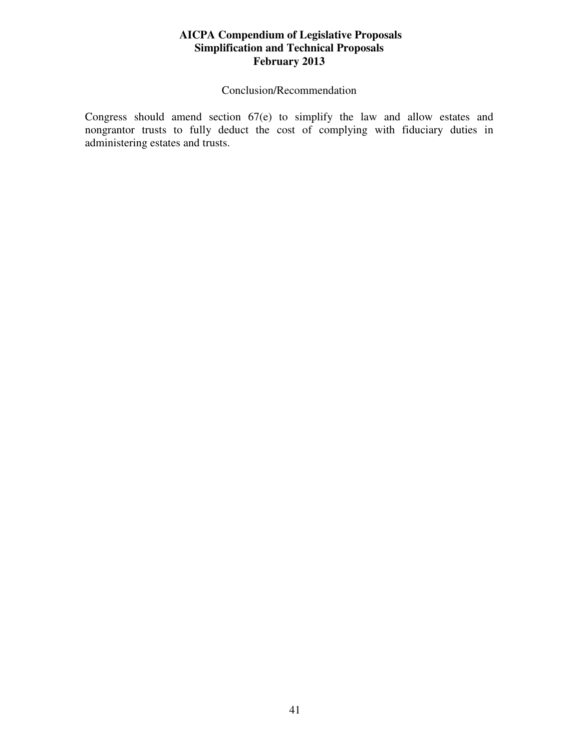## Conclusion/Recommendation

Congress should amend section 67(e) to simplify the law and allow estates and nongrantor trusts to fully deduct the cost of complying with fiduciary duties in administering estates and trusts.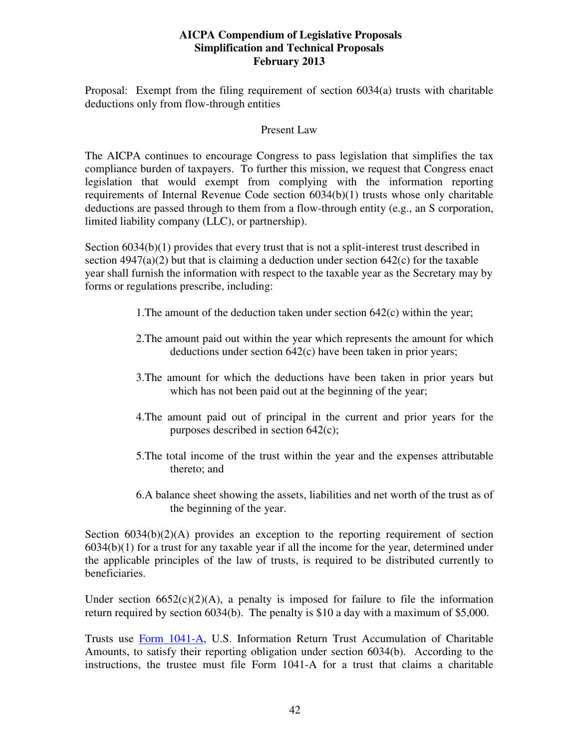Proposal: Exempt from the filing requirement of section 6034(a) trusts with charitable deductions only from flow-through entities

#### Present Law

The AICPA continues to encourage Congress to pass legislation that simplifies the tax compliance burden of taxpayers. To further this mission, we request that Congress enact legislation that would exempt from complying with the information reporting requirements of Internal Revenue Code section 6034(b)(1) trusts whose only charitable deductions are passed through to them from a flow-through entity (e.g., an S corporation, limited liability company (LLC), or partnership).

Section  $6034(b)(1)$  provides that every trust that is not a split-interest trust described in section  $4947(a)(2)$  but that is claiming a deduction under section  $642(c)$  for the taxable year shall furnish the information with respect to the taxable year as the Secretary may by forms or regulations prescribe, including:

- 1.The amount of the deduction taken under section 642(c) within the year;
- 2.The amount paid out within the year which represents the amount for which deductions under section 642(c) have been taken in prior years;
- 3.The amount for which the deductions have been taken in prior years but which has not been paid out at the beginning of the year;
- 4.The amount paid out of principal in the current and prior years for the purposes described in section 642(c);
- 5.The total income of the trust within the year and the expenses attributable thereto; and
- 6.A balance sheet showing the assets, liabilities and net worth of the trust as of the beginning of the year.

Section  $6034(b)(2)(A)$  provides an exception to the reporting requirement of section 6034(b)(1) for a trust for any taxable year if all the income for the year, determined under the applicable principles of the law of trusts, is required to be distributed currently to beneficiaries.

Under section  $6652(c)(2)(A)$ , a penalty is imposed for failure to file the information return required by section 6034(b). The penalty is \$10 a day with a maximum of \$5,000.

Trusts use Form 1041-A, U.S. Information Return Trust Accumulation of Charitable Amounts, to satisfy their reporting obligation under section 6034(b). According to the instructions, the trustee must file Form 1041-A for a trust that claims a charitable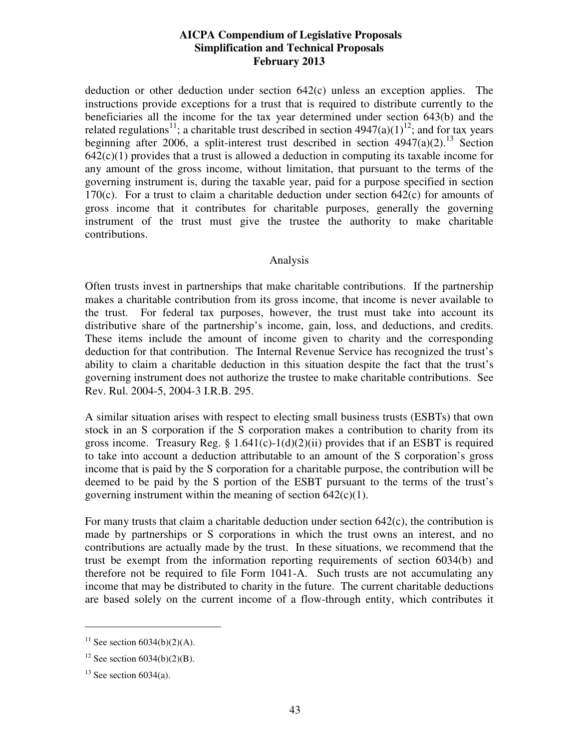deduction or other deduction under section 642(c) unless an exception applies. The instructions provide exceptions for a trust that is required to distribute currently to the beneficiaries all the income for the tax year determined under section 643(b) and the related regulations<sup>11</sup>; a charitable trust described in section  $4947(a)(1)^{12}$ ; and for tax years beginning after 2006, a split-interest trust described in section  $4947(a)(2)$ .<sup>13</sup> Section  $642(c)(1)$  provides that a trust is allowed a deduction in computing its taxable income for any amount of the gross income, without limitation, that pursuant to the terms of the governing instrument is, during the taxable year, paid for a purpose specified in section 170 $(c)$ . For a trust to claim a charitable deduction under section 642 $(c)$  for amounts of gross income that it contributes for charitable purposes, generally the governing instrument of the trust must give the trustee the authority to make charitable contributions.

## Analysis

Often trusts invest in partnerships that make charitable contributions. If the partnership makes a charitable contribution from its gross income, that income is never available to the trust. For federal tax purposes, however, the trust must take into account its distributive share of the partnership's income, gain, loss, and deductions, and credits. These items include the amount of income given to charity and the corresponding deduction for that contribution. The Internal Revenue Service has recognized the trust's ability to claim a charitable deduction in this situation despite the fact that the trust's governing instrument does not authorize the trustee to make charitable contributions. See Rev. Rul. 2004-5, 2004-3 I.R.B. 295.

A similar situation arises with respect to electing small business trusts (ESBTs) that own stock in an S corporation if the S corporation makes a contribution to charity from its gross income. Treasury Reg.  $\S$  1.641(c)-1(d)(2)(ii) provides that if an ESBT is required to take into account a deduction attributable to an amount of the S corporation's gross income that is paid by the S corporation for a charitable purpose, the contribution will be deemed to be paid by the S portion of the ESBT pursuant to the terms of the trust's governing instrument within the meaning of section  $642(c)(1)$ .

For many trusts that claim a charitable deduction under section 642(c), the contribution is made by partnerships or S corporations in which the trust owns an interest, and no contributions are actually made by the trust. In these situations, we recommend that the trust be exempt from the information reporting requirements of section 6034(b) and therefore not be required to file Form 1041-A. Such trusts are not accumulating any income that may be distributed to charity in the future. The current charitable deductions are based solely on the current income of a flow-through entity, which contributes it

-

<sup>&</sup>lt;sup>11</sup> See section  $6034(b)(2)(A)$ .

<sup>&</sup>lt;sup>12</sup> See section  $6034(b)(2)(B)$ .

 $13$  See section 6034(a).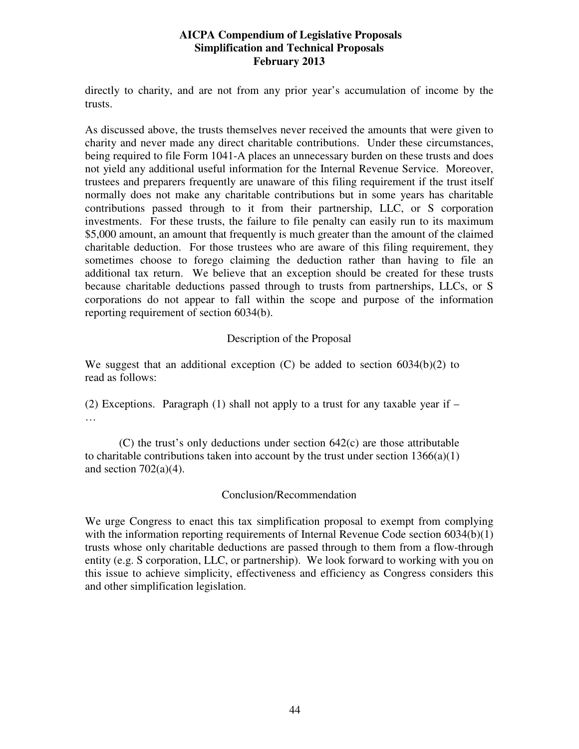directly to charity, and are not from any prior year's accumulation of income by the trusts.

As discussed above, the trusts themselves never received the amounts that were given to charity and never made any direct charitable contributions. Under these circumstances, being required to file Form 1041-A places an unnecessary burden on these trusts and does not yield any additional useful information for the Internal Revenue Service. Moreover, trustees and preparers frequently are unaware of this filing requirement if the trust itself normally does not make any charitable contributions but in some years has charitable contributions passed through to it from their partnership, LLC, or S corporation investments. For these trusts, the failure to file penalty can easily run to its maximum \$5,000 amount, an amount that frequently is much greater than the amount of the claimed charitable deduction. For those trustees who are aware of this filing requirement, they sometimes choose to forego claiming the deduction rather than having to file an additional tax return. We believe that an exception should be created for these trusts because charitable deductions passed through to trusts from partnerships, LLCs, or S corporations do not appear to fall within the scope and purpose of the information reporting requirement of section 6034(b).

## Description of the Proposal

We suggest that an additional exception  $(C)$  be added to section 6034(b)(2) to read as follows:

(2) Exceptions. Paragraph (1) shall not apply to a trust for any taxable year if  $-$ …

(C) the trust's only deductions under section 642(c) are those attributable to charitable contributions taken into account by the trust under section  $1366(a)(1)$ and section  $702(a)(4)$ .

## Conclusion/Recommendation

We urge Congress to enact this tax simplification proposal to exempt from complying with the information reporting requirements of Internal Revenue Code section 6034(b)(1) trusts whose only charitable deductions are passed through to them from a flow-through entity (e.g. S corporation, LLC, or partnership). We look forward to working with you on this issue to achieve simplicity, effectiveness and efficiency as Congress considers this and other simplification legislation.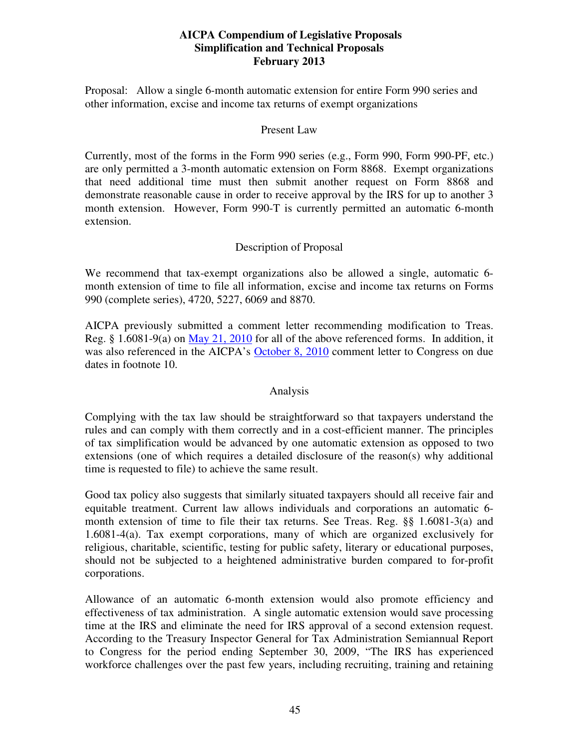Proposal: Allow a single 6-month automatic extension for entire Form 990 series and other information, excise and income tax returns of exempt organizations

#### Present Law

Currently, most of the forms in the Form 990 series (e.g., Form 990, Form 990-PF, etc.) are only permitted a 3-month automatic extension on Form 8868. Exempt organizations that need additional time must then submit another request on Form 8868 and demonstrate reasonable cause in order to receive approval by the IRS for up to another 3 month extension. However, Form 990-T is currently permitted an automatic 6-month extension.

## Description of Proposal

We recommend that tax-exempt organizations also be allowed a single, automatic 6 month extension of time to file all information, excise and income tax returns on Forms 990 (complete series), 4720, 5227, 6069 and 8870.

AICPA previously submitted a comment letter recommending modification to Treas. Reg. § 1.6081-9(a) on May 21, 2010 for all of the above referenced forms. In addition, it was also referenced in the AICPA's October 8, 2010 comment letter to Congress on due dates in footnote 10.

## Analysis

Complying with the tax law should be straightforward so that taxpayers understand the rules and can comply with them correctly and in a cost-efficient manner. The principles of tax simplification would be advanced by one automatic extension as opposed to two extensions (one of which requires a detailed disclosure of the reason(s) why additional time is requested to file) to achieve the same result.

Good tax policy also suggests that similarly situated taxpayers should all receive fair and equitable treatment. Current law allows individuals and corporations an automatic 6 month extension of time to file their tax returns. See Treas. Reg. §§ 1.6081-3(a) and 1.6081-4(a). Tax exempt corporations, many of which are organized exclusively for religious, charitable, scientific, testing for public safety, literary or educational purposes, should not be subjected to a heightened administrative burden compared to for-profit corporations.

Allowance of an automatic 6-month extension would also promote efficiency and effectiveness of tax administration. A single automatic extension would save processing time at the IRS and eliminate the need for IRS approval of a second extension request. According to the Treasury Inspector General for Tax Administration Semiannual Report to Congress for the period ending September 30, 2009, "The IRS has experienced workforce challenges over the past few years, including recruiting, training and retaining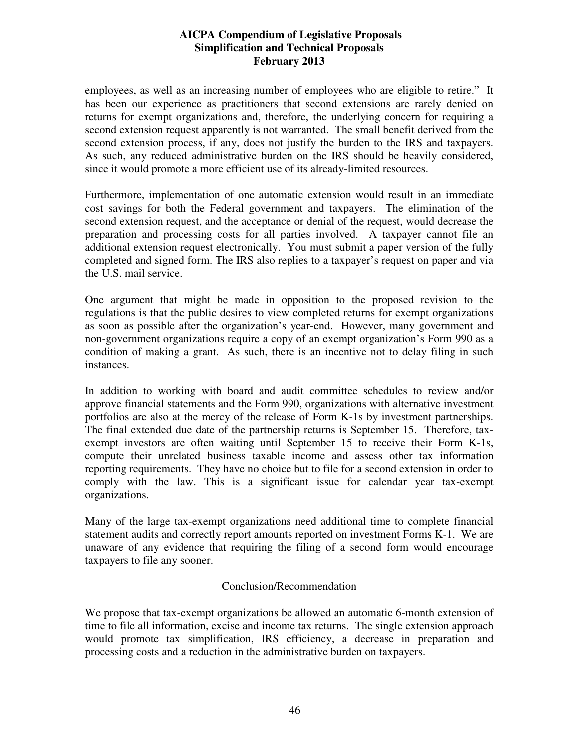employees, as well as an increasing number of employees who are eligible to retire." It has been our experience as practitioners that second extensions are rarely denied on returns for exempt organizations and, therefore, the underlying concern for requiring a second extension request apparently is not warranted. The small benefit derived from the second extension process, if any, does not justify the burden to the IRS and taxpayers. As such, any reduced administrative burden on the IRS should be heavily considered, since it would promote a more efficient use of its already-limited resources.

Furthermore, implementation of one automatic extension would result in an immediate cost savings for both the Federal government and taxpayers. The elimination of the second extension request, and the acceptance or denial of the request, would decrease the preparation and processing costs for all parties involved. A taxpayer cannot file an additional extension request electronically. You must submit a paper version of the fully completed and signed form. The IRS also replies to a taxpayer's request on paper and via the U.S. mail service.

One argument that might be made in opposition to the proposed revision to the regulations is that the public desires to view completed returns for exempt organizations as soon as possible after the organization's year-end. However, many government and non-government organizations require a copy of an exempt organization's Form 990 as a condition of making a grant. As such, there is an incentive not to delay filing in such instances.

In addition to working with board and audit committee schedules to review and/or approve financial statements and the Form 990, organizations with alternative investment portfolios are also at the mercy of the release of Form K-1s by investment partnerships. The final extended due date of the partnership returns is September 15. Therefore, taxexempt investors are often waiting until September 15 to receive their Form K-1s, compute their unrelated business taxable income and assess other tax information reporting requirements. They have no choice but to file for a second extension in order to comply with the law. This is a significant issue for calendar year tax-exempt organizations.

Many of the large tax-exempt organizations need additional time to complete financial statement audits and correctly report amounts reported on investment Forms K-1. We are unaware of any evidence that requiring the filing of a second form would encourage taxpayers to file any sooner.

## Conclusion/Recommendation

We propose that tax-exempt organizations be allowed an automatic 6-month extension of time to file all information, excise and income tax returns. The single extension approach would promote tax simplification, IRS efficiency, a decrease in preparation and processing costs and a reduction in the administrative burden on taxpayers.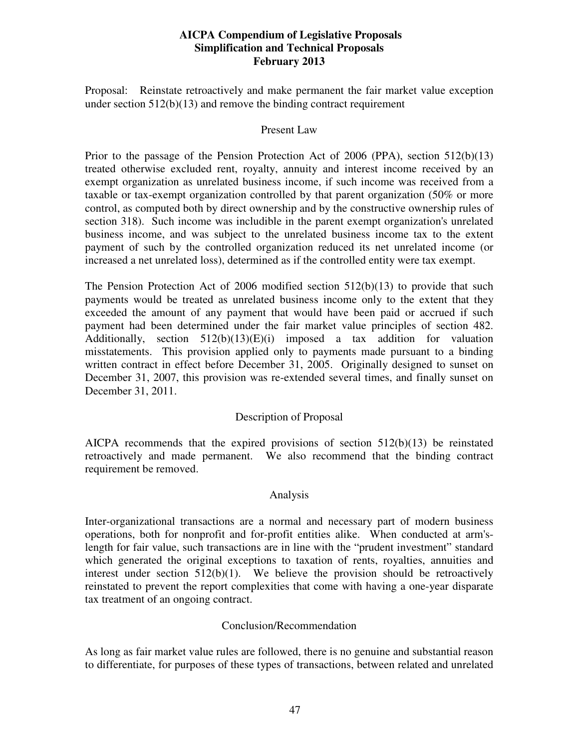Proposal: Reinstate retroactively and make permanent the fair market value exception under section  $512(b)(13)$  and remove the binding contract requirement

#### Present Law

Prior to the passage of the Pension Protection Act of 2006 (PPA), section 512(b)(13) treated otherwise excluded rent, royalty, annuity and interest income received by an exempt organization as unrelated business income, if such income was received from a taxable or tax-exempt organization controlled by that parent organization (50% or more control, as computed both by direct ownership and by the constructive ownership rules of section 318). Such income was includible in the parent exempt organization's unrelated business income, and was subject to the unrelated business income tax to the extent payment of such by the controlled organization reduced its net unrelated income (or increased a net unrelated loss), determined as if the controlled entity were tax exempt.

The Pension Protection Act of 2006 modified section 512(b)(13) to provide that such payments would be treated as unrelated business income only to the extent that they exceeded the amount of any payment that would have been paid or accrued if such payment had been determined under the fair market value principles of section 482. Additionally, section  $512(b)(13)(E)(i)$  imposed a tax addition for valuation misstatements. This provision applied only to payments made pursuant to a binding written contract in effect before December 31, 2005. Originally designed to sunset on December 31, 2007, this provision was re-extended several times, and finally sunset on December 31, 2011.

## Description of Proposal

AICPA recommends that the expired provisions of section 512(b)(13) be reinstated retroactively and made permanent. We also recommend that the binding contract requirement be removed.

## Analysis

Inter-organizational transactions are a normal and necessary part of modern business operations, both for nonprofit and for-profit entities alike. When conducted at arm'slength for fair value, such transactions are in line with the "prudent investment" standard which generated the original exceptions to taxation of rents, royalties, annuities and interest under section  $512(b)(1)$ . We believe the provision should be retroactively reinstated to prevent the report complexities that come with having a one-year disparate tax treatment of an ongoing contract.

## Conclusion/Recommendation

As long as fair market value rules are followed, there is no genuine and substantial reason to differentiate, for purposes of these types of transactions, between related and unrelated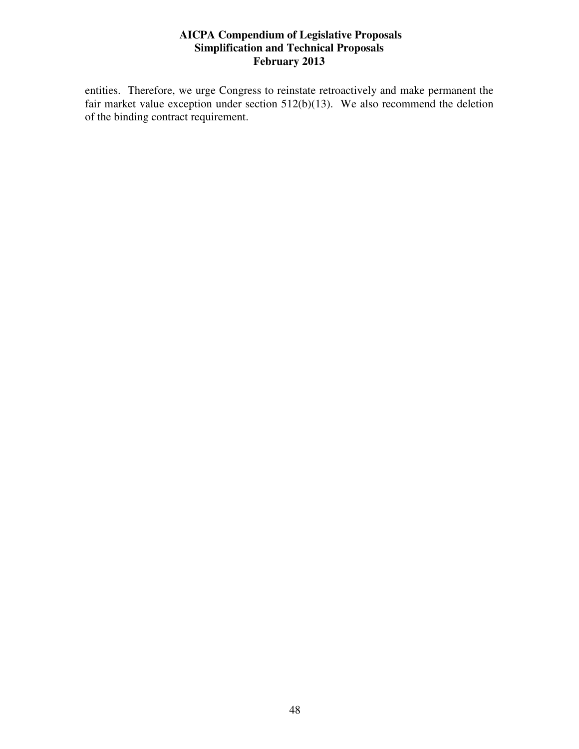entities. Therefore, we urge Congress to reinstate retroactively and make permanent the fair market value exception under section  $512(b)(13)$ . We also recommend the deletion of the binding contract requirement.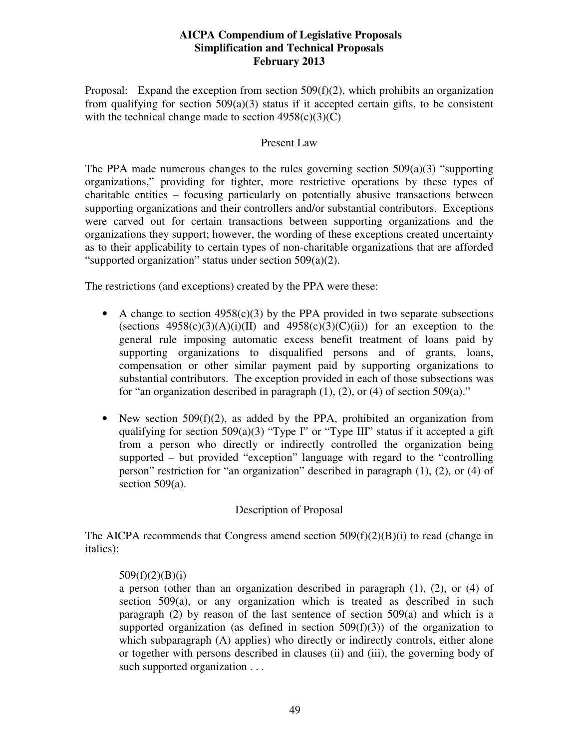Proposal: Expand the exception from section  $509(f)(2)$ , which prohibits an organization from qualifying for section 509(a)(3) status if it accepted certain gifts, to be consistent with the technical change made to section  $4958(c)(3)(C)$ 

#### Present Law

The PPA made numerous changes to the rules governing section  $509(a)(3)$  "supporting" organizations," providing for tighter, more restrictive operations by these types of charitable entities – focusing particularly on potentially abusive transactions between supporting organizations and their controllers and/or substantial contributors. Exceptions were carved out for certain transactions between supporting organizations and the organizations they support; however, the wording of these exceptions created uncertainty as to their applicability to certain types of non-charitable organizations that are afforded "supported organization" status under section 509(a)(2).

The restrictions (and exceptions) created by the PPA were these:

- A change to section  $4958(c)(3)$  by the PPA provided in two separate subsections (sections  $4958(c)(3)(A)(i)(II)$  and  $4958(c)(3)(C)(ii)$ ) for an exception to the general rule imposing automatic excess benefit treatment of loans paid by supporting organizations to disqualified persons and of grants, loans, compensation or other similar payment paid by supporting organizations to substantial contributors. The exception provided in each of those subsections was for "an organization described in paragraph  $(1)$ ,  $(2)$ , or  $(4)$  of section 509 $(a)$ ."
- New section  $509(f)(2)$ , as added by the PPA, prohibited an organization from qualifying for section  $509(a)(3)$  "Type I" or "Type III" status if it accepted a gift from a person who directly or indirectly controlled the organization being supported – but provided "exception" language with regard to the "controlling person" restriction for "an organization" described in paragraph (1), (2), or (4) of section 509(a).

## Description of Proposal

The AICPA recommends that Congress amend section  $509(f)(2)(B)(i)$  to read (change in italics):

## $509(f)(2)(B)(i)$

a person (other than an organization described in paragraph (1), (2), or (4) of section 509(a), or any organization which is treated as described in such paragraph (2) by reason of the last sentence of section 509(a) and which is a supported organization (as defined in section  $509(f)(3)$ ) of the organization to which subparagraph (A) applies) who directly or indirectly controls, either alone or together with persons described in clauses (ii) and (iii), the governing body of such supported organization . . .